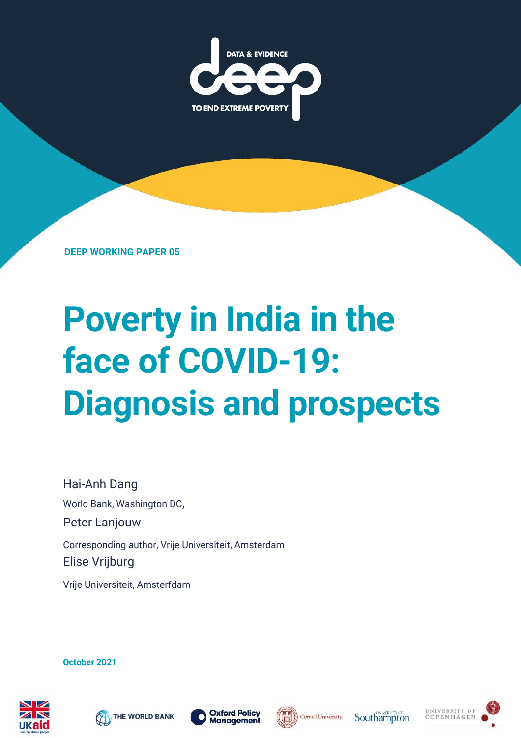

**DEEP WORKING PAPER 05**

# **Poverty in India in the face of COVID-19: Diagnosis and prospects**

Hai-Anh Dang World Bank, Washington DC, Peter Lanjouw Corresponding author, Vrije Universiteit, Amsterdam Elise Vrijburg

Vrije Universiteit, Amsterfdam

**October 2021**









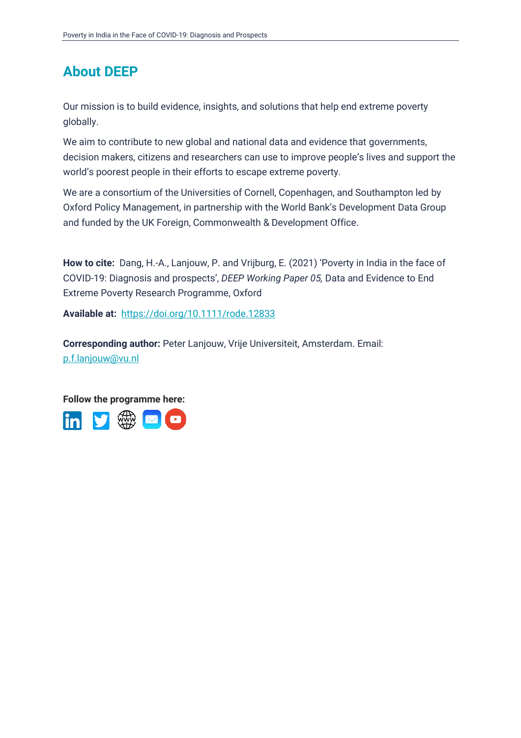### **About DEEP**

Our mission is to build evidence, insights, and solutions that help end extreme poverty globally.

We aim to contribute to new global and national data and evidence that governments, decision makers, citizens and researchers can use to improve people's lives and support the world's poorest people in their efforts to escape extreme poverty.

We are a consortium of the Universities of Cornell, Copenhagen, and Southampton led by Oxford Policy Management, in partnership with the World Bank's Development Data Group and funded by the UK Foreign, Commonwealth & Development Office.

**How to cite:** Dang, H.-A., Lanjouw, P. and Vrijburg, E. (2021) 'Poverty in India in the face of COVID-19: Diagnosis and prospects', *DEEP Working Paper 05,* Data and Evidence to End Extreme Poverty Research Programme, Oxford

**Available at:** <https://doi.org/10.1111/rode.12833>

**Corresponding author:** Peter Lanjouw, Vrije Universiteit, Amsterdam. Email: [p.f.lanjouw@vu.nl](mailto:p.f.lanjouw@vu.nl)

**Follow the programme here:**

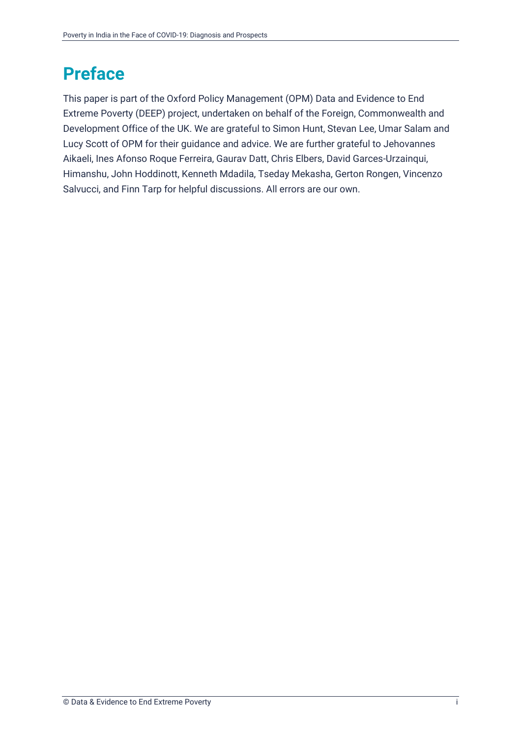### <span id="page-2-0"></span>**Preface**

This paper is part of the Oxford Policy Management (OPM) Data and Evidence to End Extreme Poverty (DEEP) project, undertaken on behalf of the Foreign, Commonwealth and Development Office of the UK. We are grateful to Simon Hunt, Stevan Lee, Umar Salam and Lucy Scott of OPM for their guidance and advice. We are further grateful to Jehovannes Aikaeli, Ines Afonso Roque Ferreira, Gaurav Datt, Chris Elbers, David Garces-Urzainqui, Himanshu, John Hoddinott, Kenneth Mdadila, Tseday Mekasha, Gerton Rongen, Vincenzo Salvucci, and Finn Tarp for helpful discussions. All errors are our own.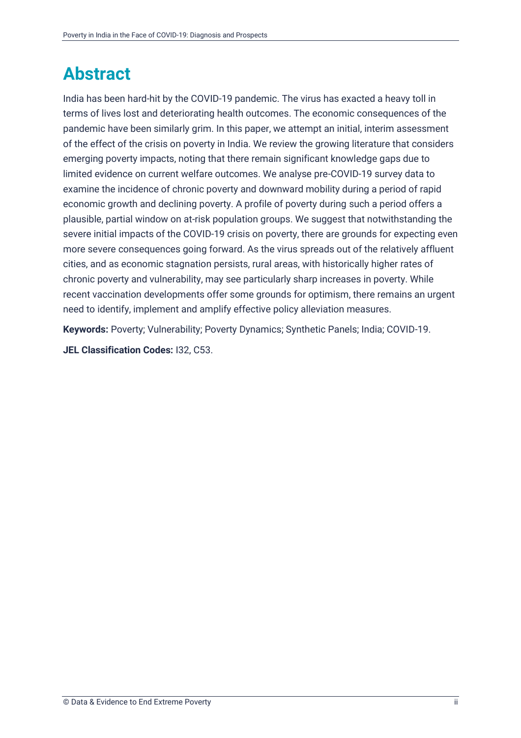### <span id="page-3-0"></span>**Abstract**

India has been hard-hit by the COVID-19 pandemic. The virus has exacted a heavy toll in terms of lives lost and deteriorating health outcomes. The economic consequences of the pandemic have been similarly grim. In this paper, we attempt an initial, interim assessment of the effect of the crisis on poverty in India. We review the growing literature that considers emerging poverty impacts, noting that there remain significant knowledge gaps due to limited evidence on current welfare outcomes. We analyse pre-COVID-19 survey data to examine the incidence of chronic poverty and downward mobility during a period of rapid economic growth and declining poverty. A profile of poverty during such a period offers a plausible, partial window on at-risk population groups. We suggest that notwithstanding the severe initial impacts of the COVID-19 crisis on poverty, there are grounds for expecting even more severe consequences going forward. As the virus spreads out of the relatively affluent cities, and as economic stagnation persists, rural areas, with historically higher rates of chronic poverty and vulnerability, may see particularly sharp increases in poverty. While recent vaccination developments offer some grounds for optimism, there remains an urgent need to identify, implement and amplify effective policy alleviation measures.

**Keywords:** Poverty; Vulnerability; Poverty Dynamics; Synthetic Panels; India; COVID-19.

**JEL Classification Codes:** I32, C53.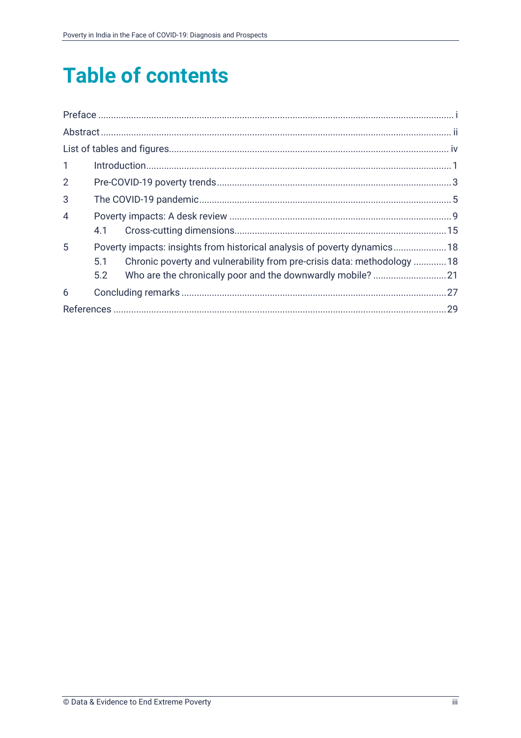# **Table of contents**

| $\mathbf{1}$   |     |                                                                           |  |
|----------------|-----|---------------------------------------------------------------------------|--|
| $\overline{2}$ |     |                                                                           |  |
| 3              |     |                                                                           |  |
| $\overline{4}$ |     |                                                                           |  |
|                | 4.1 |                                                                           |  |
| 5              |     | Poverty impacts: insights from historical analysis of poverty dynamics 18 |  |
|                | 5.1 | Chronic poverty and vulnerability from pre-crisis data: methodology 18    |  |
|                | 5.2 |                                                                           |  |
| 6              |     |                                                                           |  |
|                |     |                                                                           |  |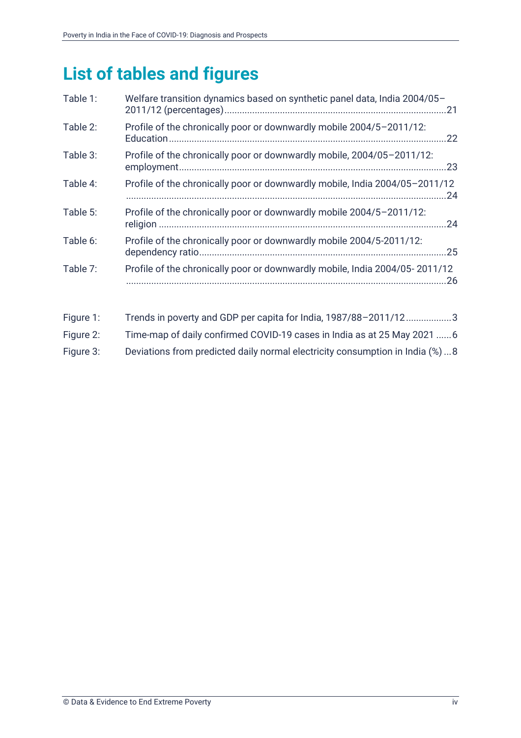# <span id="page-5-0"></span>**List of tables and figures**

| Table 1: | Welfare transition dynamics based on synthetic panel data, India 2004/05-   |
|----------|-----------------------------------------------------------------------------|
| Table 2: | Profile of the chronically poor or downwardly mobile 2004/5-2011/12:<br>.22 |
| Table 3: | Profile of the chronically poor or downwardly mobile, 2004/05-2011/12:      |
| Table 4: | Profile of the chronically poor or downwardly mobile, India 2004/05-2011/12 |
| Table 5: | Profile of the chronically poor or downwardly mobile 2004/5-2011/12:        |
| Table 6: | Profile of the chronically poor or downwardly mobile 2004/5-2011/12:        |
| Table 7: | Profile of the chronically poor or downwardly mobile, India 2004/05-2011/12 |
|          |                                                                             |

| Figure 1: | Trends in poverty and GDP per capita for India, 1987/88-2011/123             |
|-----------|------------------------------------------------------------------------------|
| Figure 2: | Time-map of daily confirmed COVID-19 cases in India as at 25 May 2021        |
| Figure 3: | Deviations from predicted daily normal electricity consumption in India (%)8 |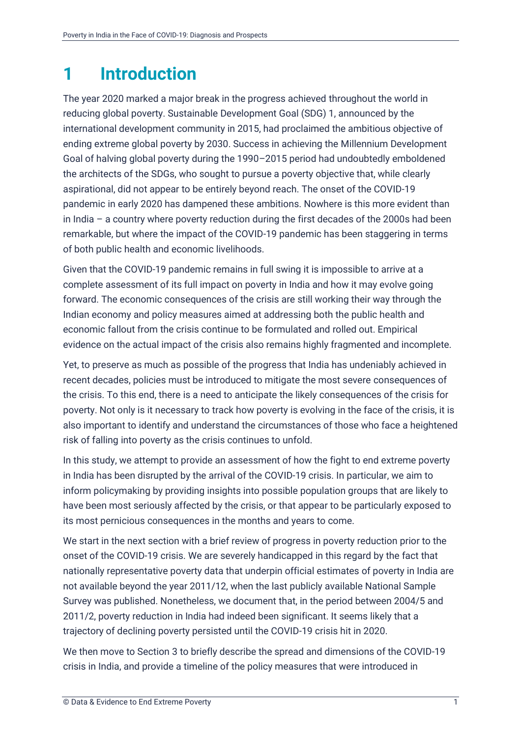# <span id="page-6-0"></span>**1 Introduction**

The year 2020 marked a major break in the progress achieved throughout the world in reducing global poverty. Sustainable Development Goal (SDG) 1, announced by the international development community in 2015, had proclaimed the ambitious objective of ending extreme global poverty by 2030. Success in achieving the Millennium Development Goal of halving global poverty during the 1990–2015 period had undoubtedly emboldened the architects of the SDGs, who sought to pursue a poverty objective that, while clearly aspirational, did not appear to be entirely beyond reach. The onset of the COVID-19 pandemic in early 2020 has dampened these ambitions. Nowhere is this more evident than in India – a country where poverty reduction during the first decades of the 2000s had been remarkable, but where the impact of the COVID-19 pandemic has been staggering in terms of both public health and economic livelihoods.

Given that the COVID-19 pandemic remains in full swing it is impossible to arrive at a complete assessment of its full impact on poverty in India and how it may evolve going forward. The economic consequences of the crisis are still working their way through the Indian economy and policy measures aimed at addressing both the public health and economic fallout from the crisis continue to be formulated and rolled out. Empirical evidence on the actual impact of the crisis also remains highly fragmented and incomplete.

Yet, to preserve as much as possible of the progress that India has undeniably achieved in recent decades, policies must be introduced to mitigate the most severe consequences of the crisis. To this end, there is a need to anticipate the likely consequences of the crisis for poverty. Not only is it necessary to track how poverty is evolving in the face of the crisis, it is also important to identify and understand the circumstances of those who face a heightened risk of falling into poverty as the crisis continues to unfold.

In this study, we attempt to provide an assessment of how the fight to end extreme poverty in India has been disrupted by the arrival of the COVID-19 crisis. In particular, we aim to inform policymaking by providing insights into possible population groups that are likely to have been most seriously affected by the crisis, or that appear to be particularly exposed to its most pernicious consequences in the months and years to come.

We start in the next section with a brief review of progress in poverty reduction prior to the onset of the COVID-19 crisis. We are severely handicapped in this regard by the fact that nationally representative poverty data that underpin official estimates of poverty in India are not available beyond the year 2011/12, when the last publicly available National Sample Survey was published. Nonetheless, we document that, in the period between 2004/5 and 2011/2, poverty reduction in India had indeed been significant. It seems likely that a trajectory of declining poverty persisted until the COVID-19 crisis hit in 2020.

We then move to Section [3](#page-10-0) to briefly describe the spread and dimensions of the COVID-19 crisis in India, and provide a timeline of the policy measures that were introduced in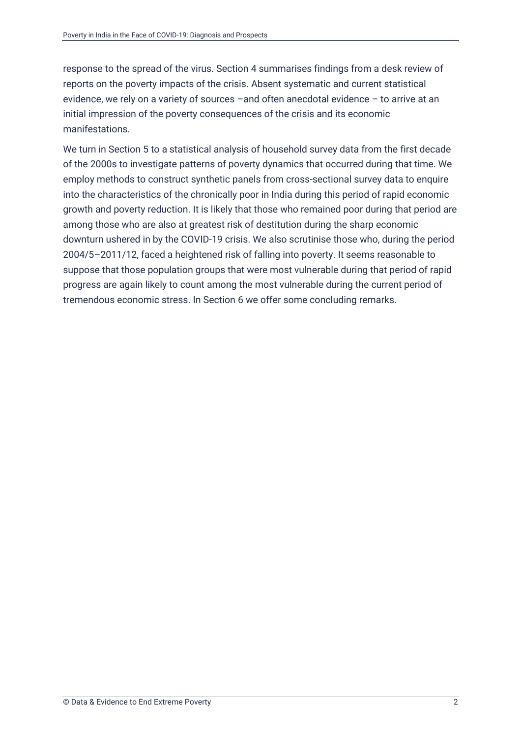response to the spread of the virus. Section [4](#page-14-0) summarises findings from a desk review of reports on the poverty impacts of the crisis. Absent systematic and current statistical evidence, we rely on a variety of sources –and often anecdotal evidence – to arrive at an initial impression of the poverty consequences of the crisis and its economic manifestations.

We turn in Section [5](#page-23-0) to a statistical analysis of household survey data from the first decade of the 2000s to investigate patterns of poverty dynamics that occurred during that time. We employ methods to construct synthetic panels from cross-sectional survey data to enquire into the characteristics of the chronically poor in India during this period of rapid economic growth and poverty reduction. It is likely that those who remained poor during that period are among those who are also at greatest risk of destitution during the sharp economic downturn ushered in by the COVID-19 crisis. We also scrutinise those who, during the period 2004/5–2011/12, faced a heightened risk of falling into poverty. It seems reasonable to suppose that those population groups that were most vulnerable during that period of rapid progress are again likely to count among the most vulnerable during the current period of tremendous economic stress. In Section [6](#page-32-0) we offer some concluding remarks.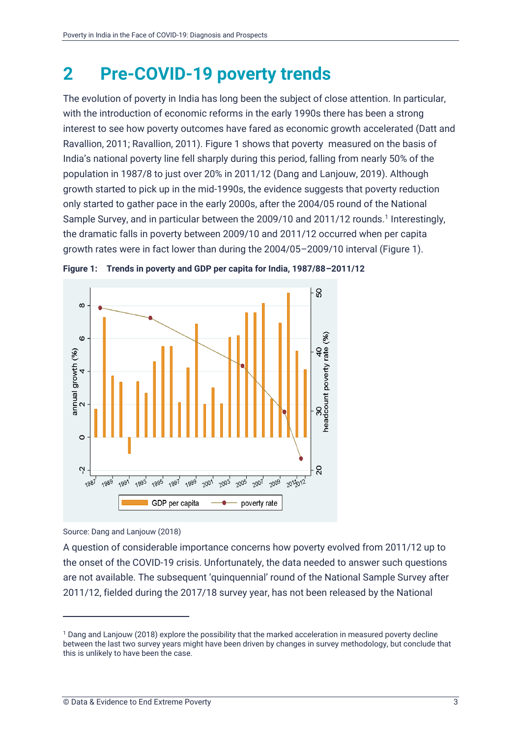### <span id="page-8-0"></span>**2 Pre-COVID-19 poverty trends**

The evolution of poverty in India has long been the subject of close attention. In particular, with the introduction of economic reforms in the early 1990s there has been a strong interest to see how poverty outcomes have fared as economic growth accelerated (Datt and Ravallion, 2011; Ravallion, 2011). Figure 1 shows that poverty measured on the basis of India's national poverty line fell sharply during this period, falling from nearly 50% of the population in 1987/8 to just over 20% in 2011/12 (Dang and Lanjouw, 2019). Although growth started to pick up in the mid-1990s, the evidence suggests that poverty reduction only started to gather pace in the early 2000s, after the 2004/05 round of the National Sample Survey, and in particular between the 2009/10 and 2011/12 rounds.<sup>1</sup> Interestingly, the dramatic falls in poverty between 2009/10 and 2011/12 occurred when per capita growth rates were in fact lower than during the 2004/05–2009/10 interval (Figure 1).



<span id="page-8-1"></span>

Source: Dang and Lanjouw (2018)

A question of considerable importance concerns how poverty evolved from 2011/12 up to the onset of the COVID-19 crisis. Unfortunately, the data needed to answer such questions are not available. The subsequent 'quinquennial' round of the National Sample Survey after 2011/12, fielded during the 2017/18 survey year, has not been released by the National

<sup>1</sup> Dang and Lanjouw (2018) explore the possibility that the marked acceleration in measured poverty decline between the last two survey years might have been driven by changes in survey methodology, but conclude that this is unlikely to have been the case.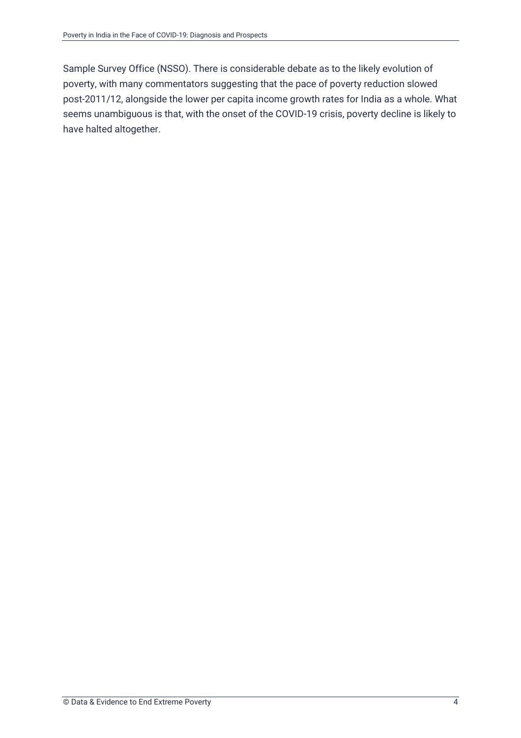Sample Survey Office (NSSO). There is considerable debate as to the likely evolution of poverty, with many commentators suggesting that the pace of poverty reduction slowed post-2011/12, alongside the lower per capita income growth rates for India as a whole. What seems unambiguous is that, with the onset of the COVID-19 crisis, poverty decline is likely to have halted altogether.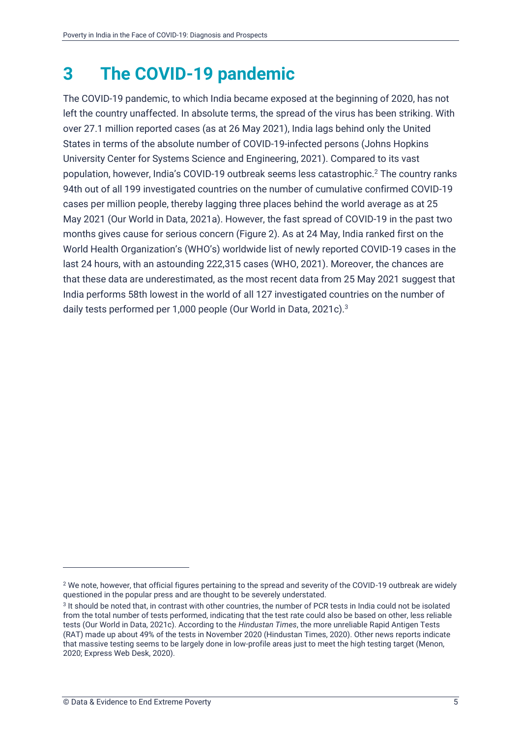# <span id="page-10-0"></span>**3 The COVID-19 pandemic**

The COVID-19 pandemic, to which India became exposed at the beginning of 2020, has not left the country unaffected. In absolute terms, the spread of the virus has been striking. With over 27.1 million reported cases (as at 26 May 2021), India lags behind only the United States in terms of the absolute number of COVID-19-infected persons (Johns Hopkins University Center for Systems Science and Engineering, 2021). Compared to its vast population, however, India's COVID-19 outbreak seems less catastrophic.<sup>2</sup> The country ranks 94th out of all 199 investigated countries on the number of cumulative confirmed COVID-19 cases per million people, thereby lagging three places behind the world average as at 25 May 2021 (Our World in Data, 2021a). However, the fast spread of COVID-19 in the past two months gives cause for serious concern (Figure 2). As at 24 May, India ranked first on the World Health Organization's (WHO's) worldwide list of newly reported COVID-19 cases in the last 24 hours, with an astounding 222,315 cases (WHO, 2021). Moreover, the chances are that these data are underestimated, as the most recent data from 25 May 2021 suggest that India performs 58th lowest in the world of all 127 investigated countries on the number of daily tests performed per 1,000 people (Our World in Data, 2021c).<sup>3</sup>

<sup>2</sup> We note, however, that official figures pertaining to the spread and severity of the COVID-19 outbreak are widely questioned in the popular press and are thought to be severely understated.

<sup>3</sup> It should be noted that, in contrast with other countries, the number of PCR tests in India could not be isolated from the total number of tests performed, indicating that the test rate could also be based on other, less reliable tests (Our World in Data, 2021c). According to the *Hindustan Times*, the more unreliable Rapid Antigen Tests (RAT) made up about 49% of the tests in November 2020 (Hindustan Times, 2020). Other news reports indicate that massive testing seems to be largely done in low-profile areas just to meet the high testing target (Menon, 2020; Express Web Desk, 2020).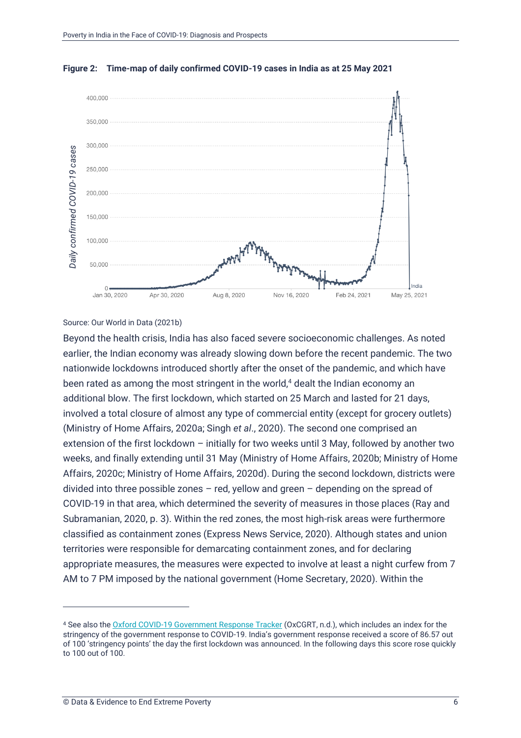

#### **Figure 2: Time-map of daily confirmed COVID-19 cases in India as at 25 May 2021**

#### <span id="page-11-0"></span>Source: Our World in Data (2021b)

Beyond the health crisis, India has also faced severe socioeconomic challenges. As noted earlier, the Indian economy was already slowing down before the recent pandemic. The two nationwide lockdowns introduced shortly after the onset of the pandemic, and which have been rated as among the most stringent in the world, $4$  dealt the Indian economy an additional blow. The first lockdown, which started on 25 March and lasted for 21 days, involved a total closure of almost any type of commercial entity (except for grocery outlets) (Ministry of Home Affairs, 2020a; Singh *et al*., 2020). The second one comprised an extension of the first lockdown – initially for two weeks until 3 May, followed by another two weeks, and finally extending until 31 May (Ministry of Home Affairs, 2020b; Ministry of Home Affairs, 2020c; Ministry of Home Affairs, 2020d). During the second lockdown, districts were divided into three possible zones  $-$  red, yellow and green  $-$  depending on the spread of COVID-19 in that area, which determined the severity of measures in those places (Ray and Subramanian, 2020, p. 3). Within the red zones, the most high-risk areas were furthermore classified as containment zones (Express News Service, 2020). Although states and union territories were responsible for demarcating containment zones, and for declaring appropriate measures, the measures were expected to involve at least a night curfew from 7 AM to 7 PM imposed by the national government (Home Secretary, 2020). Within the to 100 out of 100. *Daily confirmed COVID-19 cases*

<sup>4</sup> See also th[e Oxford COVID-19 Government Response Tracker](https://covidtracker.bsg.ox.ac.uk/stringency-scatter) (OxCGRT, n.d.), which includes an index for the stringency of the government response to COVID-19. India's government response received a score of 86.57 out of 100 'stringency points' the day the first lockdown was announced. In the following days this score rose quickly to 100 out of 100.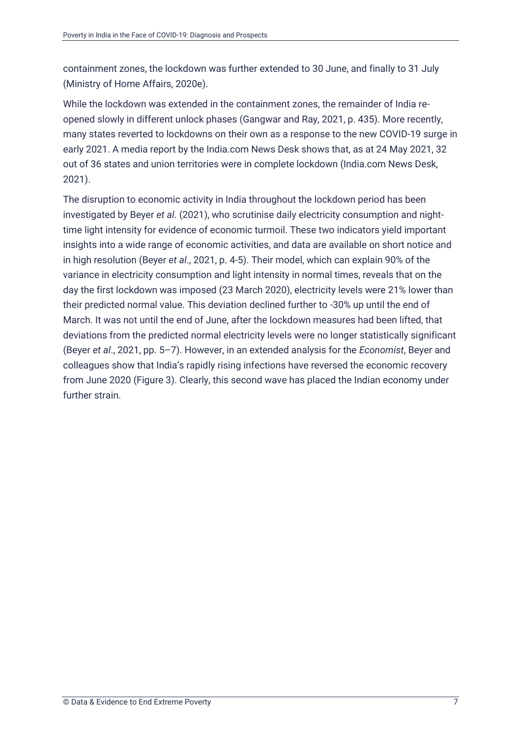containment zones, the lockdown was further extended to 30 June, and finally to 31 July (Ministry of Home Affairs, 2020e).

While the lockdown was extended in the containment zones, the remainder of India reopened slowly in different unlock phases (Gangwar and Ray, 2021, p. 435). More recently, many states reverted to lockdowns on their own as a response to the new COVID-19 surge in early 2021. A media report by the India.com News Desk shows that, as at 24 May 2021, 32 out of 36 states and union territories were in complete lockdown (India.com News Desk, 2021).

The disruption to economic activity in India throughout the lockdown period has been investigated by Beyer *et al*. (2021), who scrutinise daily electricity consumption and nighttime light intensity for evidence of economic turmoil. These two indicators yield important insights into a wide range of economic activities, and data are available on short notice and in high resolution (Beyer *et al*., 2021, p. 4-5). Their model, which can explain 90% of the variance in electricity consumption and light intensity in normal times, reveals that on the day the first lockdown was imposed (23 March 2020), electricity levels were 21% lower than their predicted normal value. This deviation declined further to -30% up until the end of March. It was not until the end of June, after the lockdown measures had been lifted, that deviations from the predicted normal electricity levels were no longer statistically significant (Beyer *et al*., 2021, pp. 5–7). However, in an extended analysis for the *Economist*, Beyer and colleagues show that India's rapidly rising infections have reversed the economic recovery from June 2020 (Figure 3). Clearly, this second wave has placed the Indian economy under further strain.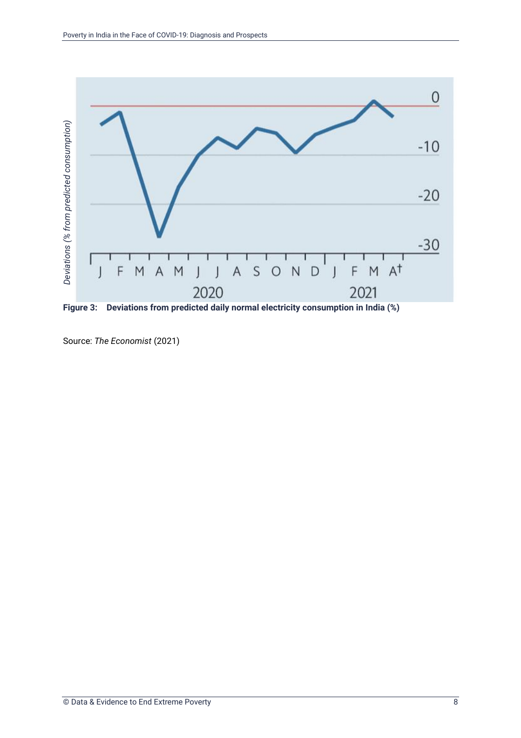

<span id="page-13-0"></span>**Figure 3: Deviations from predicted daily normal electricity consumption in India (%)**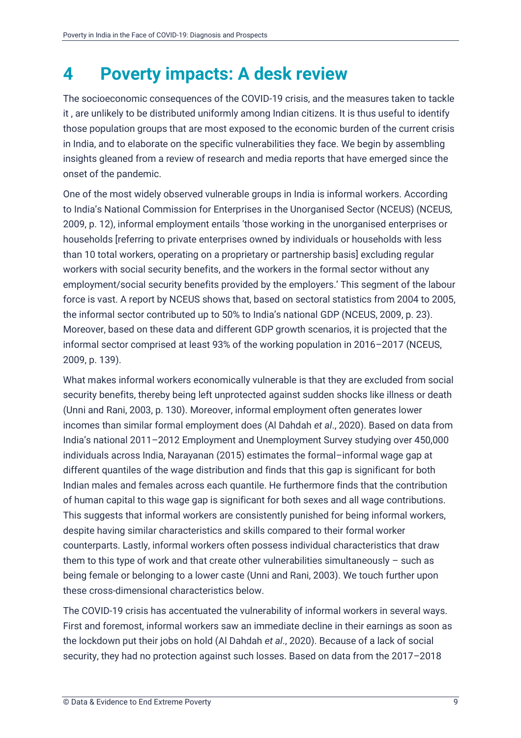### <span id="page-14-0"></span>**4 Poverty impacts: A desk review**

The socioeconomic consequences of the COVID-19 crisis, and the measures taken to tackle it , are unlikely to be distributed uniformly among Indian citizens. It is thus useful to identify those population groups that are most exposed to the economic burden of the current crisis in India, and to elaborate on the specific vulnerabilities they face. We begin by assembling insights gleaned from a review of research and media reports that have emerged since the onset of the pandemic.

One of the most widely observed vulnerable groups in India is informal workers. According to India's National Commission for Enterprises in the Unorganised Sector (NCEUS) (NCEUS, 2009, p. 12), informal employment entails 'those working in the unorganised enterprises or households [referring to private enterprises owned by individuals or households with less than 10 total workers, operating on a proprietary or partnership basis] excluding regular workers with social security benefits, and the workers in the formal sector without any employment/social security benefits provided by the employers.' This segment of the labour force is vast. A report by NCEUS shows that, based on sectoral statistics from 2004 to 2005, the informal sector contributed up to 50% to India's national GDP (NCEUS, 2009, p. 23). Moreover, based on these data and different GDP growth scenarios, it is projected that the informal sector comprised at least 93% of the working population in 2016–2017 (NCEUS, 2009, p. 139).

What makes informal workers economically vulnerable is that they are excluded from social security benefits, thereby being left unprotected against sudden shocks like illness or death (Unni and Rani, 2003, p. 130). Moreover, informal employment often generates lower incomes than similar formal employment does (Al Dahdah *et al*., 2020). Based on data from India's national 2011–2012 Employment and Unemployment Survey studying over 450,000 individuals across India, Narayanan (2015) estimates the formal–informal wage gap at different quantiles of the wage distribution and finds that this gap is significant for both Indian males and females across each quantile. He furthermore finds that the contribution of human capital to this wage gap is significant for both sexes and all wage contributions. This suggests that informal workers are consistently punished for being informal workers, despite having similar characteristics and skills compared to their formal worker counterparts. Lastly, informal workers often possess individual characteristics that draw them to this type of work and that create other vulnerabilities simultaneously  $-$  such as being female or belonging to a lower caste (Unni and Rani, 2003). We touch further upon these cross-dimensional characteristics below.

The COVID-19 crisis has accentuated the vulnerability of informal workers in several ways. First and foremost, informal workers saw an immediate decline in their earnings as soon as the lockdown put their jobs on hold (Al Dahdah *et al*., 2020). Because of a lack of social security, they had no protection against such losses. Based on data from the 2017–2018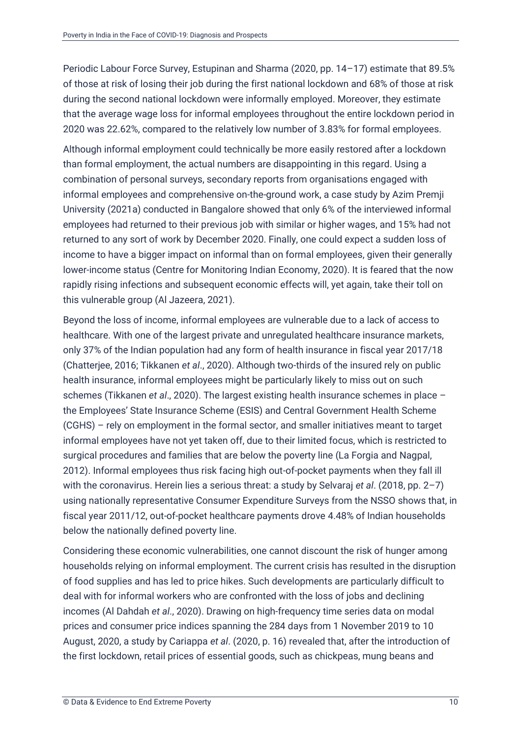Periodic Labour Force Survey, Estupinan and Sharma (2020, pp. 14–17) estimate that 89.5% of those at risk of losing their job during the first national lockdown and 68% of those at risk during the second national lockdown were informally employed. Moreover, they estimate that the average wage loss for informal employees throughout the entire lockdown period in 2020 was 22.62%, compared to the relatively low number of 3.83% for formal employees.

Although informal employment could technically be more easily restored after a lockdown than formal employment, the actual numbers are disappointing in this regard. Using a combination of personal surveys, secondary reports from organisations engaged with informal employees and comprehensive on-the-ground work, a case study by Azim Premji University (2021a) conducted in Bangalore showed that only 6% of the interviewed informal employees had returned to their previous job with similar or higher wages, and 15% had not returned to any sort of work by December 2020. Finally, one could expect a sudden loss of income to have a bigger impact on informal than on formal employees, given their generally lower-income status (Centre for Monitoring Indian Economy, 2020). It is feared that the now rapidly rising infections and subsequent economic effects will, yet again, take their toll on this vulnerable group (Al Jazeera, 2021).

Beyond the loss of income, informal employees are vulnerable due to a lack of access to healthcare. With one of the largest private and unregulated healthcare insurance markets, only 37% of the Indian population had any form of health insurance in fiscal year 2017/18 (Chatterjee, 2016; Tikkanen *et al*., 2020). Although two-thirds of the insured rely on public health insurance, informal employees might be particularly likely to miss out on such schemes (Tikkanen *et al*., 2020). The largest existing health insurance schemes in place – the Employees' State Insurance Scheme (ESIS) and Central Government Health Scheme (CGHS) – rely on employment in the formal sector, and smaller initiatives meant to target informal employees have not yet taken off, due to their limited focus, which is restricted to surgical procedures and families that are below the poverty line (La Forgia and Nagpal, 2012). Informal employees thus risk facing high out-of-pocket payments when they fall ill with the coronavirus. Herein lies a serious threat: a study by Selvaraj *et al*. (2018, pp. 2–7) using nationally representative Consumer Expenditure Surveys from the NSSO shows that, in fiscal year 2011/12, out-of-pocket healthcare payments drove 4.48% of Indian households below the nationally defined poverty line.

Considering these economic vulnerabilities, one cannot discount the risk of hunger among households relying on informal employment. The current crisis has resulted in the disruption of food supplies and has led to price hikes. Such developments are particularly difficult to deal with for informal workers who are confronted with the loss of jobs and declining incomes (Al Dahdah *et al*., 2020). Drawing on high-frequency time series data on modal prices and consumer price indices spanning the 284 days from 1 November 2019 to 10 August, 2020, a study by Cariappa *et al*. (2020, p. 16) revealed that, after the introduction of the first lockdown, retail prices of essential goods, such as chickpeas, mung beans and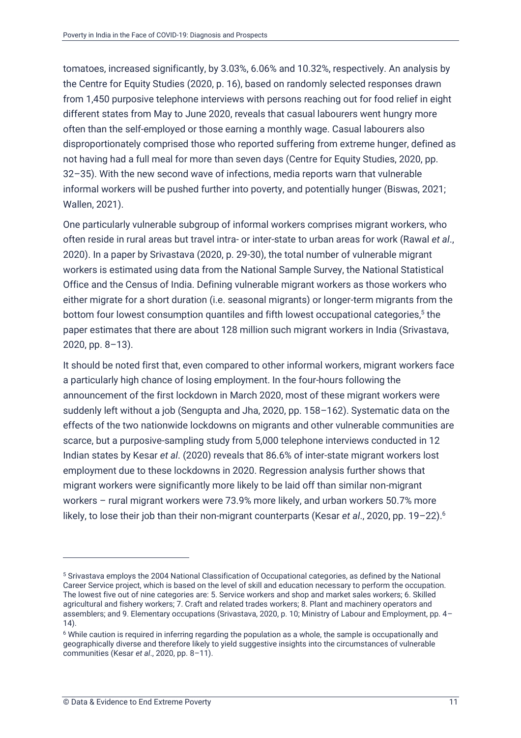tomatoes, increased significantly, by 3.03%, 6.06% and 10.32%, respectively. An analysis by the Centre for Equity Studies (2020, p. 16), based on randomly selected responses drawn from 1,450 purposive telephone interviews with persons reaching out for food relief in eight different states from May to June 2020, reveals that casual labourers went hungry more often than the self-employed or those earning a monthly wage. Casual labourers also disproportionately comprised those who reported suffering from extreme hunger, defined as not having had a full meal for more than seven days (Centre for Equity Studies, 2020, pp. 32–35). With the new second wave of infections, media reports warn that vulnerable informal workers will be pushed further into poverty, and potentially hunger (Biswas, 2021; Wallen, 2021).

One particularly vulnerable subgroup of informal workers comprises migrant workers, who often reside in rural areas but travel intra- or inter-state to urban areas for work (Rawal *et al*., 2020). In a paper by Srivastava (2020, p. 29-30), the total number of vulnerable migrant workers is estimated using data from the National Sample Survey, the National Statistical Office and the Census of India. Defining vulnerable migrant workers as those workers who either migrate for a short duration (i.e. seasonal migrants) or longer-term migrants from the bottom four lowest consumption quantiles and fifth lowest occupational categories,<sup>5</sup> the paper estimates that there are about 128 million such migrant workers in India (Srivastava, 2020, pp. 8–13).

It should be noted first that, even compared to other informal workers, migrant workers face a particularly high chance of losing employment. In the four-hours following the announcement of the first lockdown in March 2020, most of these migrant workers were suddenly left without a job (Sengupta and Jha, 2020, pp. 158–162). Systematic data on the effects of the two nationwide lockdowns on migrants and other vulnerable communities are scarce, but a purposive-sampling study from 5,000 telephone interviews conducted in 12 Indian states by Kesar *et al*. (2020) reveals that 86.6% of inter-state migrant workers lost employment due to these lockdowns in 2020. Regression analysis further shows that migrant workers were significantly more likely to be laid off than similar non-migrant workers – rural migrant workers were 73.9% more likely, and urban workers 50.7% more likely, to lose their job than their non-migrant counterparts (Kesar *et al*., 2020, pp. 19–22).<sup>6</sup>

<sup>5</sup> Srivastava employs the 2004 National Classification of Occupational categories, as defined by the National Career Service project, which is based on the level of skill and education necessary to perform the occupation. The lowest five out of nine categories are: 5. Service workers and shop and market sales workers; 6. Skilled agricultural and fishery workers; 7. Craft and related trades workers; 8. Plant and machinery operators and assemblers; and 9. Elementary occupations (Srivastava, 2020, p. 10; Ministry of Labour and Employment, pp. 4– 14).

<sup>6</sup> While caution is required in inferring regarding the population as a whole, the sample is occupationally and geographically diverse and therefore likely to yield suggestive insights into the circumstances of vulnerable communities (Kesar *et al*., 2020, pp. 8–11).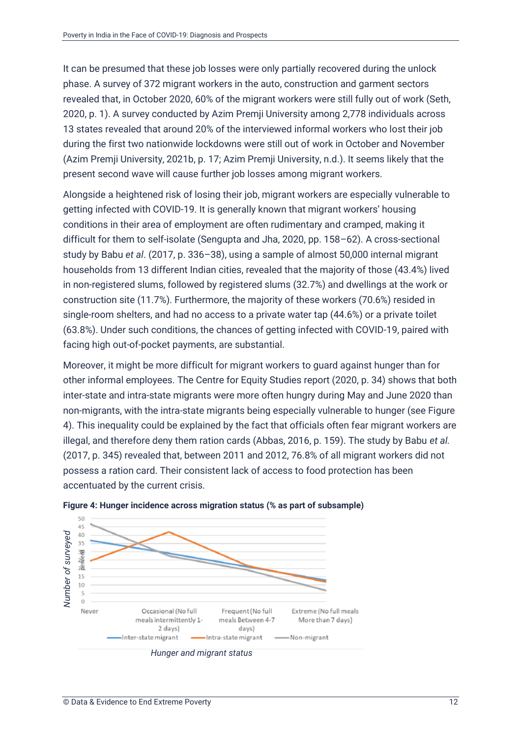It can be presumed that these job losses were only partially recovered during the unlock phase. A survey of 372 migrant workers in the auto, construction and garment sectors revealed that, in October 2020, 60% of the migrant workers were still fully out of work (Seth, 2020, p. 1). A survey conducted by Azim Premji University among 2,778 individuals across 13 states revealed that around 20% of the interviewed informal workers who lost their job during the first two nationwide lockdowns were still out of work in October and November (Azim Premji University, 2021b, p. 17; Azim Premji University, n.d.). It seems likely that the present second wave will cause further job losses among migrant workers.

Alongside a heightened risk of losing their job, migrant workers are especially vulnerable to getting infected with COVID-19. It is generally known that migrant workers' housing conditions in their area of employment are often rudimentary and cramped, making it difficult for them to self-isolate (Sengupta and Jha, 2020, pp. 158–62). A cross-sectional study by Babu *et al*. (2017, p. 336–38), using a sample of almost 50,000 internal migrant households from 13 different Indian cities, revealed that the majority of those (43.4%) lived in non-registered slums, followed by registered slums (32.7%) and dwellings at the work or construction site (11.7%). Furthermore, the majority of these workers (70.6%) resided in single-room shelters, and had no access to a private water tap (44.6%) or a private toilet (63.8%). Under such conditions, the chances of getting infected with COVID-19, paired with facing high out-of-pocket payments, are substantial.

Moreover, it might be more difficult for migrant workers to guard against hunger than for other informal employees. The Centre for Equity Studies report (2020, p. 34) shows that both inter-state and intra-state migrants were more often hungry during May and June 2020 than non-migrants, with the intra-state migrants being especially vulnerable to hunger (see Figure 4). This inequality could be explained by the fact that officials often fear migrant workers are illegal, and therefore deny them ration cards (Abbas, 2016, p. 159). The study by Babu *et al.* (2017, p. 345) revealed that, between 2011 and 2012, 76.8% of all migrant workers did not possess a ration card. Their consistent lack of access to food protection has been accentuated by the current crisis.



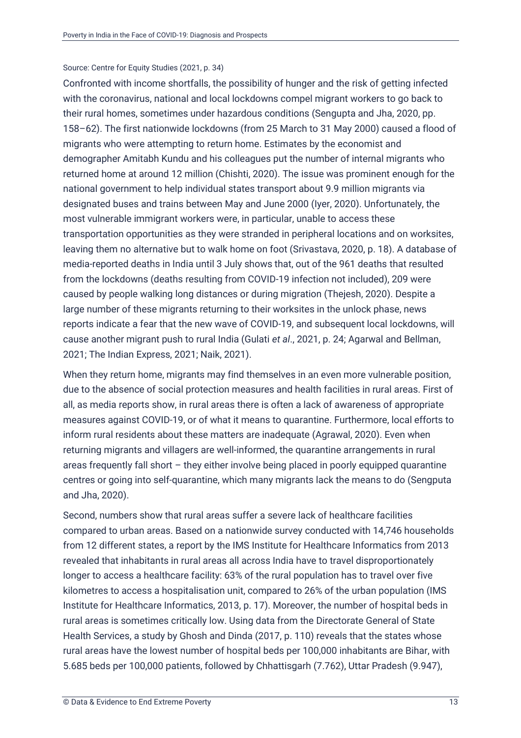#### Source: Centre for Equity Studies (2021, p. 34)

Confronted with income shortfalls, the possibility of hunger and the risk of getting infected with the coronavirus, national and local lockdowns compel migrant workers to go back to their rural homes, sometimes under hazardous conditions (Sengupta and Jha, 2020, pp. 158–62). The first nationwide lockdowns (from 25 March to 31 May 2000) caused a flood of migrants who were attempting to return home. Estimates by the economist and demographer Amitabh Kundu and his colleagues put the number of internal migrants who returned home at around 12 million (Chishti, 2020). The issue was prominent enough for the national government to help individual states transport about 9.9 million migrants via designated buses and trains between May and June 2000 (Iyer, 2020). Unfortunately, the most vulnerable immigrant workers were, in particular, unable to access these transportation opportunities as they were stranded in peripheral locations and on worksites, leaving them no alternative but to walk home on foot (Srivastava, 2020, p. 18). A database of media-reported deaths in India until 3 July shows that, out of the 961 deaths that resulted from the lockdowns (deaths resulting from COVID-19 infection not included), 209 were caused by people walking long distances or during migration (Thejesh, 2020). Despite a large number of these migrants returning to their worksites in the unlock phase, news reports indicate a fear that the new wave of COVID-19, and subsequent local lockdowns, will cause another migrant push to rural India (Gulati *et al*., 2021, p. 24; Agarwal and Bellman, 2021; The Indian Express, 2021; Naik, 2021).

When they return home, migrants may find themselves in an even more vulnerable position, due to the absence of social protection measures and health facilities in rural areas. First of all, as media reports show, in rural areas there is often a lack of awareness of appropriate measures against COVID-19, or of what it means to quarantine. Furthermore, local efforts to inform rural residents about these matters are inadequate (Agrawal, 2020). Even when returning migrants and villagers are well-informed, the quarantine arrangements in rural areas frequently fall short – they either involve being placed in poorly equipped quarantine centres or going into self-quarantine, which many migrants lack the means to do (Sengputa and Jha, 2020).

Second, numbers show that rural areas suffer a severe lack of healthcare facilities compared to urban areas. Based on a nationwide survey conducted with 14,746 households from 12 different states, a report by the IMS Institute for Healthcare Informatics from 2013 revealed that inhabitants in rural areas all across India have to travel disproportionately longer to access a healthcare facility: 63% of the rural population has to travel over five kilometres to access a hospitalisation unit, compared to 26% of the urban population (IMS Institute for Healthcare Informatics, 2013, p. 17). Moreover, the number of hospital beds in rural areas is sometimes critically low. Using data from the Directorate General of State Health Services, a study by Ghosh and Dinda (2017, p. 110) reveals that the states whose rural areas have the lowest number of hospital beds per 100,000 inhabitants are Bihar, with 5.685 beds per 100,000 patients, followed by Chhattisgarh (7.762), Uttar Pradesh (9.947),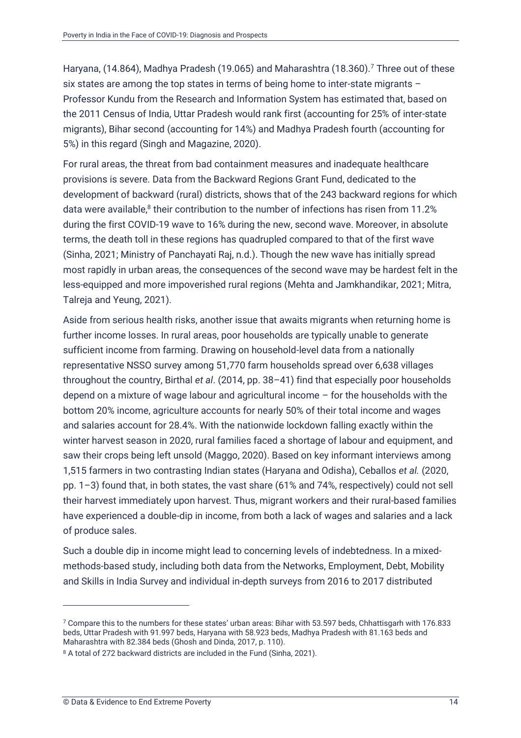Haryana, (14.864), Madhya Pradesh (19.065) and Maharashtra (18.360).<sup>7</sup> Three out of these six states are among the top states in terms of being home to inter-state migrants – Professor Kundu from the Research and Information System has estimated that, based on the 2011 Census of India, Uttar Pradesh would rank first (accounting for 25% of inter-state migrants), Bihar second (accounting for 14%) and Madhya Pradesh fourth (accounting for 5%) in this regard (Singh and Magazine, 2020).

For rural areas, the threat from bad containment measures and inadequate healthcare provisions is severe. Data from the Backward Regions Grant Fund, dedicated to the development of backward (rural) districts, shows that of the 243 backward regions for which data were available, $^8$  their contribution to the number of infections has risen from 11.2% during the first COVID-19 wave to 16% during the new, second wave. Moreover, in absolute terms, the death toll in these regions has quadrupled compared to that of the first wave (Sinha, 2021; Ministry of Panchayati Raj, n.d.). Though the new wave has initially spread most rapidly in urban areas, the consequences of the second wave may be hardest felt in the less-equipped and more impoverished rural regions (Mehta and Jamkhandikar, 2021; Mitra, Talreja and Yeung, 2021).

Aside from serious health risks, another issue that awaits migrants when returning home is further income losses. In rural areas, poor households are typically unable to generate sufficient income from farming. Drawing on household-level data from a nationally representative NSSO survey among 51,770 farm households spread over 6,638 villages throughout the country, Birthal *et al*. (2014, pp. 38–41) find that especially poor households depend on a mixture of wage labour and agricultural income – for the households with the bottom 20% income, agriculture accounts for nearly 50% of their total income and wages and salaries account for 28.4%. With the nationwide lockdown falling exactly within the winter harvest season in 2020, rural families faced a shortage of labour and equipment, and saw their crops being left unsold (Maggo, 2020). Based on key informant interviews among 1,515 farmers in two contrasting Indian states (Haryana and Odisha), Ceballos *et al.* (2020, pp. 1–3) found that, in both states, the vast share (61% and 74%, respectively) could not sell their harvest immediately upon harvest. Thus, migrant workers and their rural-based families have experienced a double-dip in income, from both a lack of wages and salaries and a lack of produce sales.

Such a double dip in income might lead to concerning levels of indebtedness. In a mixedmethods-based study, including both data from the Networks, Employment, Debt, Mobility and Skills in India Survey and individual in-depth surveys from 2016 to 2017 distributed

<sup>7</sup> Compare this to the numbers for these states' urban areas: Bihar with 53.597 beds, Chhattisgarh with 176.833 beds, Uttar Pradesh with 91.997 beds, Haryana with 58.923 beds, Madhya Pradesh with 81.163 beds and Maharashtra with 82.384 beds (Ghosh and Dinda, 2017, p. 110).

<sup>&</sup>lt;sup>8</sup> A total of 272 backward districts are included in the Fund (Sinha, 2021).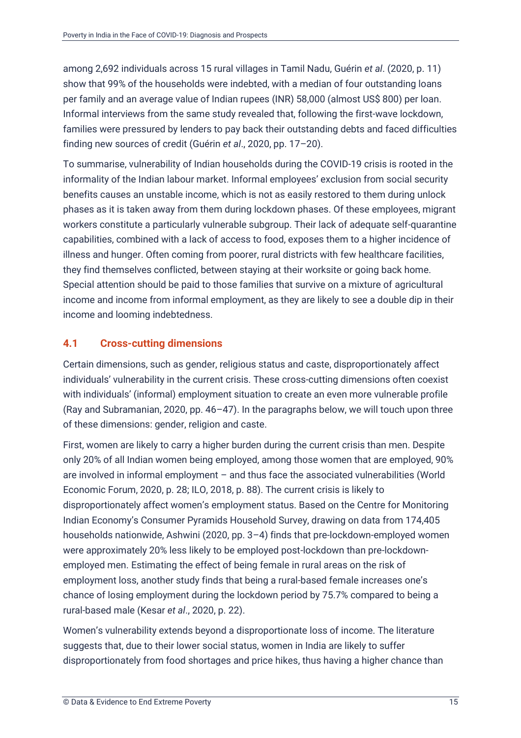among 2,692 individuals across 15 rural villages in Tamil Nadu, Guérin *et al*. (2020, p. 11) show that 99% of the households were indebted, with a median of four outstanding loans per family and an average value of Indian rupees (INR) 58,000 (almost US\$ 800) per loan. Informal interviews from the same study revealed that, following the first-wave lockdown, families were pressured by lenders to pay back their outstanding debts and faced difficulties finding new sources of credit (Guérin *et al*., 2020, pp. 17–20).

To summarise, vulnerability of Indian households during the COVID-19 crisis is rooted in the informality of the Indian labour market. Informal employees' exclusion from social security benefits causes an unstable income, which is not as easily restored to them during unlock phases as it is taken away from them during lockdown phases. Of these employees, migrant workers constitute a particularly vulnerable subgroup. Their lack of adequate self-quarantine capabilities, combined with a lack of access to food, exposes them to a higher incidence of illness and hunger. Often coming from poorer, rural districts with few healthcare facilities, they find themselves conflicted, between staying at their worksite or going back home. Special attention should be paid to those families that survive on a mixture of agricultural income and income from informal employment, as they are likely to see a double dip in their income and looming indebtedness.

### <span id="page-20-0"></span>**4.1 Cross-cutting dimensions**

Certain dimensions, such as gender, religious status and caste, disproportionately affect individuals' vulnerability in the current crisis. These cross-cutting dimensions often coexist with individuals' (informal) employment situation to create an even more vulnerable profile (Ray and Subramanian, 2020, pp. 46–47). In the paragraphs below, we will touch upon three of these dimensions: gender, religion and caste.

First, women are likely to carry a higher burden during the current crisis than men. Despite only 20% of all Indian women being employed, among those women that are employed, 90% are involved in informal employment – and thus face the associated vulnerabilities (World Economic Forum, 2020, p. 28; ILO, 2018, p. 88). The current crisis is likely to disproportionately affect women's employment status. Based on the Centre for Monitoring Indian Economy's Consumer Pyramids Household Survey, drawing on data from 174,405 households nationwide, Ashwini (2020, pp. 3–4) finds that pre-lockdown-employed women were approximately 20% less likely to be employed post-lockdown than pre-lockdownemployed men. Estimating the effect of being female in rural areas on the risk of employment loss, another study finds that being a rural-based female increases one's chance of losing employment during the lockdown period by 75.7% compared to being a rural-based male (Kesar *et al*., 2020, p. 22).

Women's vulnerability extends beyond a disproportionate loss of income. The literature suggests that, due to their lower social status, women in India are likely to suffer disproportionately from food shortages and price hikes, thus having a higher chance than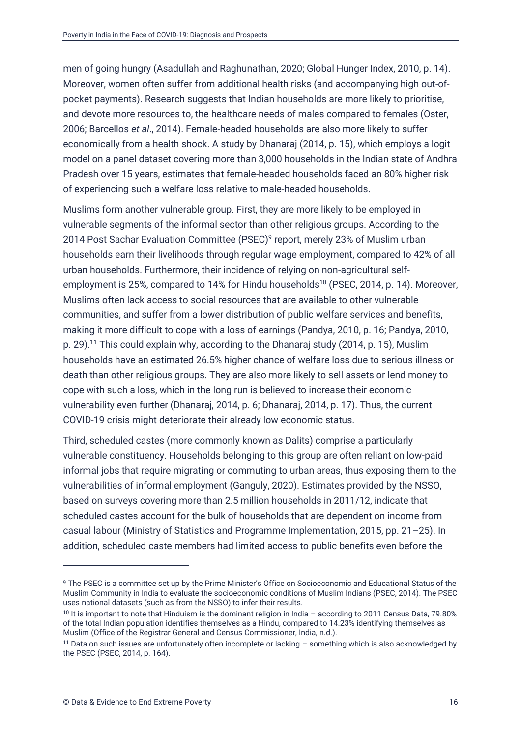men of going hungry (Asadullah and Raghunathan, 2020; Global Hunger Index, 2010, p. 14). Moreover, women often suffer from additional health risks (and accompanying high out-ofpocket payments). Research suggests that Indian households are more likely to prioritise, and devote more resources to, the healthcare needs of males compared to females (Oster, 2006; Barcellos *et al*., 2014). Female-headed households are also more likely to suffer economically from a health shock. A study by Dhanaraj (2014, p. 15), which employs a logit model on a panel dataset covering more than 3,000 households in the Indian state of Andhra Pradesh over 15 years, estimates that female-headed households faced an 80% higher risk of experiencing such a welfare loss relative to male-headed households.

Muslims form another vulnerable group. First, they are more likely to be employed in vulnerable segments of the informal sector than other religious groups. According to the 2014 Post Sachar Evaluation Committee (PSEC)<sup>9</sup> report, merely 23% of Muslim urban households earn their livelihoods through regular wage employment, compared to 42% of all urban households. Furthermore, their incidence of relying on non-agricultural selfemployment is 25%, compared to 14% for Hindu households<sup>10</sup> (PSEC, 2014, p. 14). Moreover, Muslims often lack access to social resources that are available to other vulnerable communities, and suffer from a lower distribution of public welfare services and benefits, making it more difficult to cope with a loss of earnings (Pandya, 2010, p. 16; Pandya, 2010, p. 29).<sup>11</sup> This could explain why, according to the Dhanaraj study (2014, p. 15), Muslim households have an estimated 26.5% higher chance of welfare loss due to serious illness or death than other religious groups. They are also more likely to sell assets or lend money to cope with such a loss, which in the long run is believed to increase their economic vulnerability even further (Dhanaraj, 2014, p. 6; Dhanaraj, 2014, p. 17). Thus, the current COVID-19 crisis might deteriorate their already low economic status.

Third, scheduled castes (more commonly known as Dalits) comprise a particularly vulnerable constituency. Households belonging to this group are often reliant on low-paid informal jobs that require migrating or commuting to urban areas, thus exposing them to the vulnerabilities of informal employment (Ganguly, 2020). Estimates provided by the NSSO, based on surveys covering more than 2.5 million households in 2011/12, indicate that scheduled castes account for the bulk of households that are dependent on income from casual labour (Ministry of Statistics and Programme Implementation, 2015, pp. 21–25). In addition, scheduled caste members had limited access to public benefits even before the

<sup>9</sup> The PSEC is a committee set up by the Prime Minister's Office on Socioeconomic and Educational Status of the Muslim Community in India to evaluate the socioeconomic conditions of Muslim Indians (PSEC, 2014). The PSEC uses national datasets (such as from the NSSO) to infer their results.

<sup>10</sup> It is important to note that Hinduism is the dominant religion in India – according to 2011 Census Data, 79.80% of the total Indian population identifies themselves as a Hindu, compared to 14.23% identifying themselves as Muslim (Office of the Registrar General and Census Commissioner, India, n.d.).

<sup>11</sup> Data on such issues are unfortunately often incomplete or lacking – something which is also acknowledged by the PSEC (PSEC, 2014, p. 164).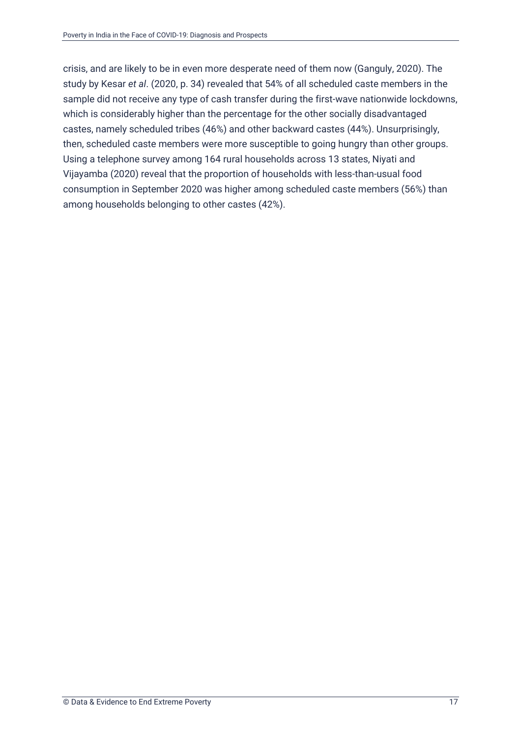crisis, and are likely to be in even more desperate need of them now (Ganguly, 2020). The study by Kesar *et al*. (2020, p. 34) revealed that 54% of all scheduled caste members in the sample did not receive any type of cash transfer during the first-wave nationwide lockdowns, which is considerably higher than the percentage for the other socially disadvantaged castes, namely scheduled tribes (46%) and other backward castes (44%). Unsurprisingly, then, scheduled caste members were more susceptible to going hungry than other groups. Using a telephone survey among 164 rural households across 13 states, Niyati and Vijayamba (2020) reveal that the proportion of households with less-than-usual food consumption in September 2020 was higher among scheduled caste members (56%) than among households belonging to other castes (42%).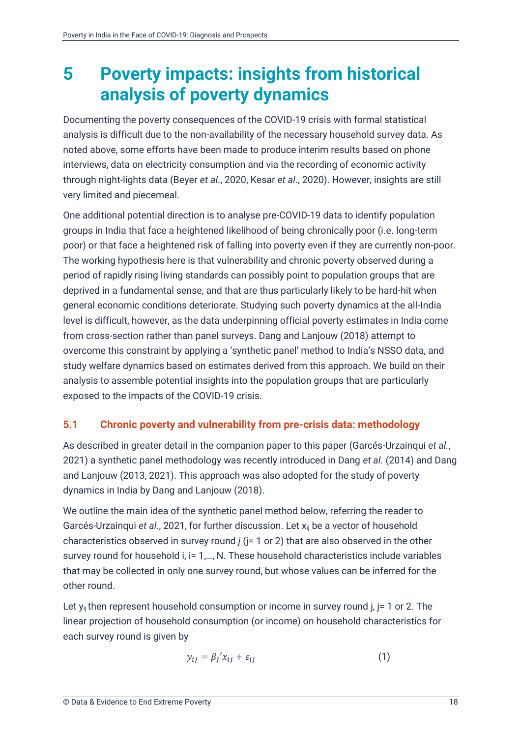### <span id="page-23-0"></span>**5 Poverty impacts: insights from historical analysis of poverty dynamics**

Documenting the poverty consequences of the COVID-19 crisis with formal statistical analysis is difficult due to the non-availability of the necessary household survey data. As noted above, some efforts have been made to produce interim results based on phone interviews, data on electricity consumption and via the recording of economic activity through night-lights data (Beyer *et al*., 2020, Kesar *et al*., 2020). However, insights are still very limited and piecemeal.

One additional potential direction is to analyse pre-COVID-19 data to identify population groups in India that face a heightened likelihood of being chronically poor (i.e. long-term poor) or that face a heightened risk of falling into poverty even if they are currently non-poor. The working hypothesis here is that vulnerability and chronic poverty observed during a period of rapidly rising living standards can possibly point to population groups that are deprived in a fundamental sense, and that are thus particularly likely to be hard-hit when general economic conditions deteriorate. Studying such poverty dynamics at the all-India level is difficult, however, as the data underpinning official poverty estimates in India come from cross-section rather than panel surveys. Dang and Lanjouw (2018) attempt to overcome this constraint by applying a 'synthetic panel' method to India's NSSO data, and study welfare dynamics based on estimates derived from this approach. We build on their analysis to assemble potential insights into the population groups that are particularly exposed to the impacts of the COVID-19 crisis.

### <span id="page-23-1"></span>**5.1 Chronic poverty and vulnerability from pre-crisis data: methodology**

As described in greater detail in the companion paper to this paper (Garcés-Urzainqui *et al.*, 2021) a synthetic panel methodology was recently introduced in Dang *et al.* (2014) and Dang and Lanjouw (2013, 2021). This approach was also adopted for the study of poverty dynamics in India by Dang and Lanjouw (2018).

We outline the main idea of the synthetic panel method below, referring the reader to Garcés-Urzainqui *et al.*, 2021, for further discussion. Let x<sub>ij</sub> be a vector of household characteristics observed in survey round *j* (j= 1 or 2) that are also observed in the other survey round for household i, i= 1,..., N. These household characteristics include variables that may be collected in only one survey round, but whose values can be inferred for the other round.

Let  $y_{ij}$  then represent household consumption or income in survey round j,  $j = 1$  or 2. The linear projection of household consumption (or income) on household characteristics for each survey round is given by

$$
y_{ij} = \beta_j' x_{ij} + \varepsilon_{ij} \tag{1}
$$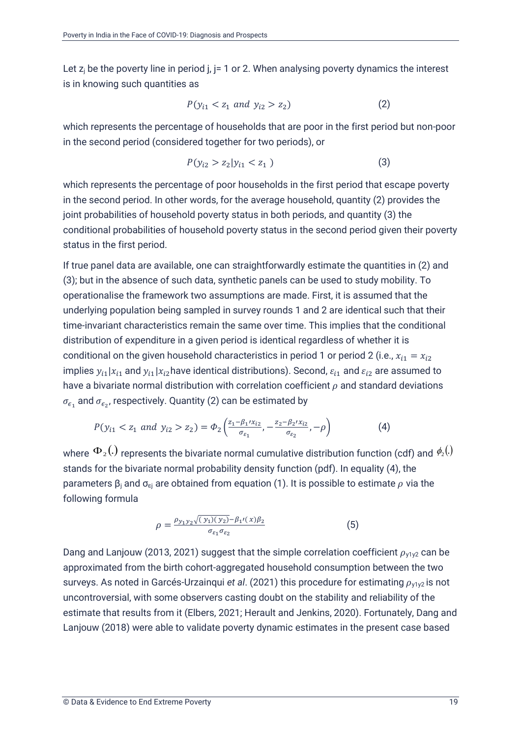Let  $z_j$  be the poverty line in period j,  $j=1$  or 2. When analysing poverty dynamics the interest is in knowing such quantities as

$$
P(y_{i1} < z_1 \text{ and } y_{i2} > z_2) \tag{2}
$$

which represents the percentage of households that are poor in the first period but non-poor in the second period (considered together for two periods), or

$$
P(y_{i2} > z_2 | y_{i1} < z_1)
$$
\n(3)

which represents the percentage of poor households in the first period that escape poverty in the second period. In other words, for the average household, quantity (2) provides the joint probabilities of household poverty status in both periods, and quantity (3) the conditional probabilities of household poverty status in the second period given their poverty status in the first period.

If true panel data are available, one can straightforwardly estimate the quantities in (2) and (3); but in the absence of such data, synthetic panels can be used to study mobility. To operationalise the framework two assumptions are made. First, it is assumed that the underlying population being sampled in survey rounds 1 and 2 are identical such that their time-invariant characteristics remain the same over time. This implies that the conditional distribution of expenditure in a given period is identical regardless of whether it is conditional on the given household characteristics in period 1 or period 2 (i.e.,  $x_{i1} = x_{i2}$ implies  $y_{i1} | x_{i1}$  and  $y_{i1} | x_{i2}$  have identical distributions). Second,  $\varepsilon_{i1}$  and  $\varepsilon_{i2}$  are assumed to have a bivariate normal distribution with correlation coefficient  $\rho$  and standard deviations  $\sigma_{\epsilon_1}$  and  $\sigma_{\epsilon_2}$ , respectively. Quantity (2) can be estimated by

$$
P(y_{i1} < z_1 \text{ and } y_{i2} > z_2) = \Phi_2\left(\frac{z_1 - \beta_1 / x_{i2}}{\sigma_{\varepsilon_1}}, -\frac{z_2 - \beta_2 / x_{i2}}{\sigma_{\varepsilon_2}}, -\rho\right) \tag{4}
$$

where  $\Phi$   $_{2} (.)$  represents the bivariate normal cumulative distribution function (cdf) and  $\phi_{\scriptscriptstyle 2} (.)$ stands for the bivariate normal probability density function (pdf). In equality (4), the parameters  $\beta_i$  and  $\sigma_{\rm ej}$  are obtained from equation (1). It is possible to estimate  $\rho$  via the following formula

$$
\rho = \frac{\rho_{y_1 y_2} \sqrt{(y_1)(y_2)} - \beta_{1'}(x)\beta_2}{\sigma_{\varepsilon_1}\sigma_{\varepsilon_2}} \tag{5}
$$

Dang and Lanjouw (2013, 2021) suggest that the simple correlation coefficient  $\rho_{V1V2}$  can be approximated from the birth cohort-aggregated household consumption between the two surveys. As noted in Garcés-Urzainqui *et al.* (2021) this procedure for estimating  $\rho_{V1V2}$  is not uncontroversial, with some observers casting doubt on the stability and reliability of the estimate that results from it (Elbers, 2021; Herault and Jenkins, 2020). Fortunately, Dang and Lanjouw (2018) were able to validate poverty dynamic estimates in the present case based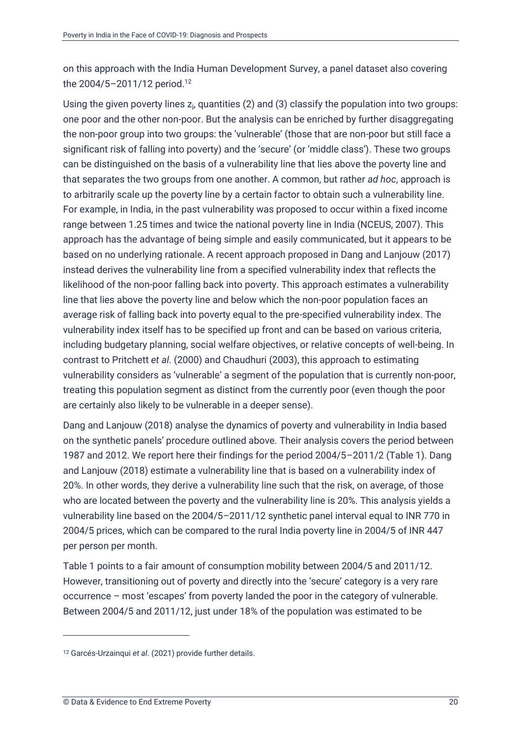on this approach with the India Human Development Survey, a panel dataset also covering the 2004/5-2011/12 period.<sup>12</sup>

Using the given poverty lines  $z_i$ , quantities (2) and (3) classify the population into two groups: one poor and the other non-poor. But the analysis can be enriched by further disaggregating the non-poor group into two groups: the 'vulnerable' (those that are non-poor but still face a significant risk of falling into poverty) and the 'secure' (or 'middle class'). These two groups can be distinguished on the basis of a vulnerability line that lies above the poverty line and that separates the two groups from one another. A common, but rather *ad hoc*, approach is to arbitrarily scale up the poverty line by a certain factor to obtain such a vulnerability line. For example, in India, in the past vulnerability was proposed to occur within a fixed income range between 1.25 times and twice the national poverty line in India (NCEUS, 2007). This approach has the advantage of being simple and easily communicated, but it appears to be based on no underlying rationale. A recent approach proposed in Dang and Lanjouw (2017) instead derives the vulnerability line from a specified vulnerability index that reflects the likelihood of the non-poor falling back into poverty. This approach estimates a vulnerability line that lies above the poverty line and below which the non-poor population faces an average risk of falling back into poverty equal to the pre-specified vulnerability index. The vulnerability index itself has to be specified up front and can be based on various criteria, including budgetary planning, social welfare objectives, or relative concepts of well-being. In contrast to Pritchett *et al*. (2000) and Chaudhuri (2003), this approach to estimating vulnerability considers as 'vulnerable' a segment of the population that is currently non-poor, treating this population segment as distinct from the currently poor (even though the poor are certainly also likely to be vulnerable in a deeper sense).

Dang and Lanjouw (2018) analyse the dynamics of poverty and vulnerability in India based on the synthetic panels' procedure outlined above. Their analysis covers the period between 1987 and 2012. We report here their findings for the period 2004/5–2011/2 (Table 1). Dang and Lanjouw (2018) estimate a vulnerability line that is based on a vulnerability index of 20%. In other words, they derive a vulnerability line such that the risk, on average, of those who are located between the poverty and the vulnerability line is 20%. This analysis yields a vulnerability line based on the 2004/5–2011/12 synthetic panel interval equal to INR 770 in 2004/5 prices, which can be compared to the rural India poverty line in 2004/5 of INR 447 per person per month.

Table 1 points to a fair amount of consumption mobility between 2004/5 and 2011/12. However, transitioning out of poverty and directly into the 'secure' category is a very rare occurrence – most 'escapes' from poverty landed the poor in the category of vulnerable. Between 2004/5 and 2011/12, just under 18% of the population was estimated to be

<sup>12</sup> Garcés-Urzainqui *et al*. (2021) provide further details.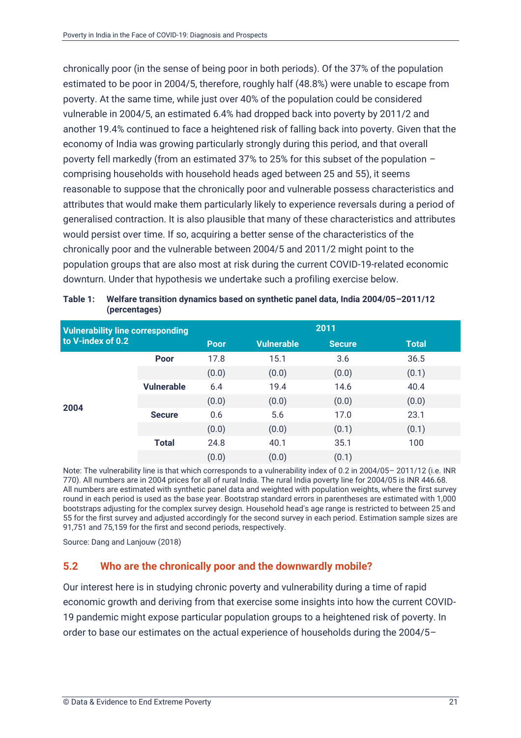chronically poor (in the sense of being poor in both periods). Of the 37% of the population estimated to be poor in 2004/5, therefore, roughly half (48.8%) were unable to escape from poverty. At the same time, while just over 40% of the population could be considered vulnerable in 2004/5, an estimated 6.4% had dropped back into poverty by 2011/2 and another 19.4% continued to face a heightened risk of falling back into poverty. Given that the economy of India was growing particularly strongly during this period, and that overall poverty fell markedly (from an estimated 37% to 25% for this subset of the population – comprising households with household heads aged between 25 and 55), it seems reasonable to suppose that the chronically poor and vulnerable possess characteristics and attributes that would make them particularly likely to experience reversals during a period of generalised contraction. It is also plausible that many of these characteristics and attributes would persist over time. If so, acquiring a better sense of the characteristics of the chronically poor and the vulnerable between 2004/5 and 2011/2 might point to the population groups that are also most at risk during the current COVID-19-related economic downturn. Under that hypothesis we undertake such a profiling exercise below.

| <b>Vulnerability line corresponding</b><br>to V-index of 0.2 |                   | 2011        |                   |               |              |
|--------------------------------------------------------------|-------------------|-------------|-------------------|---------------|--------------|
|                                                              |                   | <b>Poor</b> | <b>Vulnerable</b> | <b>Secure</b> | <b>Total</b> |
|                                                              | Poor              | 17.8        | 15.1              | 3.6           | 36.5         |
|                                                              |                   | (0.0)       | (0.0)             | (0.0)         | (0.1)        |
|                                                              | <b>Vulnerable</b> | 6.4         | 19.4              | 14.6          | 40.4         |
| 2004                                                         |                   | (0.0)       | (0.0)             | (0.0)         | (0.0)        |
|                                                              | <b>Secure</b>     | 0.6         | 5.6               | 17.0          | 23.1         |
|                                                              |                   | (0.0)       | (0.0)             | (0.1)         | (0.1)        |
|                                                              | <b>Total</b>      | 24.8        | 40.1              | 35.1          | 100          |
|                                                              |                   | (0.0)       | (0.0)             | (0.1)         |              |

<span id="page-26-1"></span>**Table 1: Welfare transition dynamics based on synthetic panel data, India 2004/05–2011/12 (percentages)**

Note: The vulnerability line is that which corresponds to a vulnerability index of 0.2 in 2004/05– 2011/12 (i.e. INR 770). All numbers are in 2004 prices for all of rural India. The rural India poverty line for 2004/05 is INR 446.68. All numbers are estimated with synthetic panel data and weighted with population weights, where the first survey round in each period is used as the base year. Bootstrap standard errors in parentheses are estimated with 1,000 bootstraps adjusting for the complex survey design. Household head's age range is restricted to between 25 and 55 for the first survey and adjusted accordingly for the second survey in each period. Estimation sample sizes are 91,751 and 75,159 for the first and second periods, respectively.

Source: Dang and Lanjouw (2018)

#### <span id="page-26-0"></span>**5.2 Who are the chronically poor and the downwardly mobile?**

Our interest here is in studying chronic poverty and vulnerability during a time of rapid economic growth and deriving from that exercise some insights into how the current COVID-19 pandemic might expose particular population groups to a heightened risk of poverty. In order to base our estimates on the actual experience of households during the 2004/5–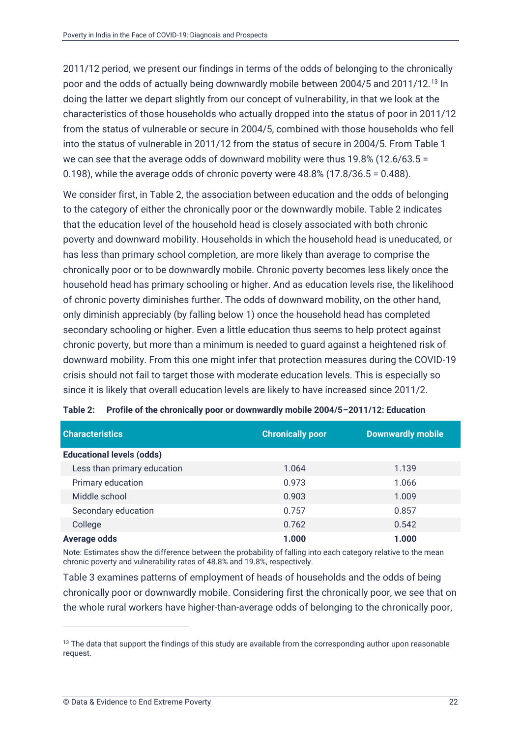2011/12 period, we present our findings in terms of the odds of belonging to the chronically poor and the odds of actually being downwardly mobile between 2004/5 and 2011/12.<sup>13</sup> In doing the latter we depart slightly from our concept of vulnerability, in that we look at the characteristics of those households who actually dropped into the status of poor in 2011/12 from the status of vulnerable or secure in 2004/5, combined with those households who fell into the status of vulnerable in 2011/12 from the status of secure in 2004/5. From Table 1 we can see that the average odds of downward mobility were thus 19.8% (12.6/63.5 = 0.198), while the average odds of chronic poverty were 48.8% (17.8/36.5 = 0.488).

We consider first, in Table 2, the association between education and the odds of belonging to the category of either the chronically poor or the downwardly mobile. Table 2 indicates that the education level of the household head is closely associated with both chronic poverty and downward mobility. Households in which the household head is uneducated, or has less than primary school completion, are more likely than average to comprise the chronically poor or to be downwardly mobile. Chronic poverty becomes less likely once the household head has primary schooling or higher. And as education levels rise, the likelihood of chronic poverty diminishes further. The odds of downward mobility, on the other hand, only diminish appreciably (by falling below 1) once the household head has completed secondary schooling or higher. Even a little education thus seems to help protect against chronic poverty, but more than a minimum is needed to guard against a heightened risk of downward mobility. From this one might infer that protection measures during the COVID-19 crisis should not fail to target those with moderate education levels. This is especially so since it is likely that overall education levels are likely to have increased since 2011/2.

| <b>Characteristics</b>           | <b>Chronically poor</b> | <b>Downwardly mobile</b> |
|----------------------------------|-------------------------|--------------------------|
| <b>Educational levels (odds)</b> |                         |                          |
| Less than primary education      | 1.064                   | 1.139                    |
| Primary education                | 0.973                   | 1.066                    |
| Middle school                    | 0.903                   | 1.009                    |
| Secondary education              | 0.757                   | 0.857                    |
| College                          | 0.762                   | 0.542                    |
| <b>Average odds</b>              | 1.000                   | 1.000                    |

<span id="page-27-0"></span>

|  | Table 2: Profile of the chronically poor or downwardly mobile 2004/5-2011/12: Education |
|--|-----------------------------------------------------------------------------------------|
|--|-----------------------------------------------------------------------------------------|

Note: Estimates show the difference between the probability of falling into each category relative to the mean chronic poverty and vulnerability rates of 48.8% and 19.8%, respectively.

Table 3 examines patterns of employment of heads of households and the odds of being chronically poor or downwardly mobile. Considering first the chronically poor, we see that on the whole rural workers have higher-than-average odds of belonging to the chronically poor,

<sup>&</sup>lt;sup>13</sup> The data that support the findings of this study are available from the corresponding author upon reasonable request.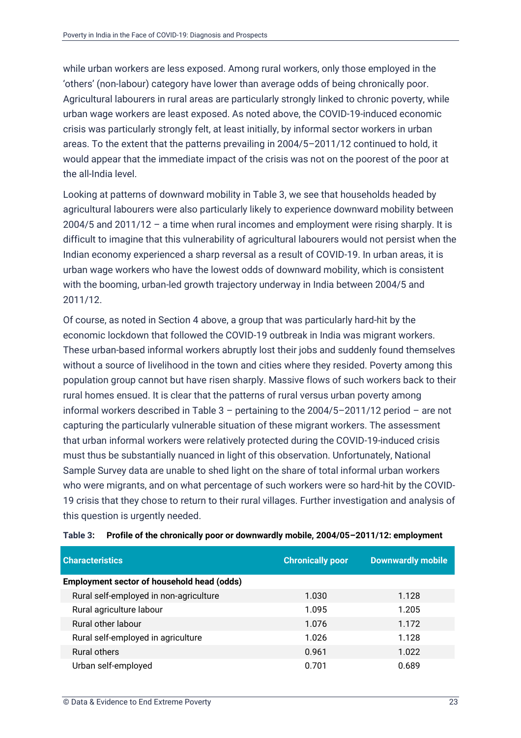while urban workers are less exposed. Among rural workers, only those employed in the 'others' (non-labour) category have lower than average odds of being chronically poor. Agricultural labourers in rural areas are particularly strongly linked to chronic poverty, while urban wage workers are least exposed. As noted above, the COVID-19-induced economic crisis was particularly strongly felt, at least initially, by informal sector workers in urban areas. To the extent that the patterns prevailing in 2004/5–2011/12 continued to hold, it would appear that the immediate impact of the crisis was not on the poorest of the poor at the all-India level.

Looking at patterns of downward mobility in Table 3, we see that households headed by agricultural labourers were also particularly likely to experience downward mobility between 2004/5 and 2011/12 – a time when rural incomes and employment were rising sharply. It is difficult to imagine that this vulnerability of agricultural labourers would not persist when the Indian economy experienced a sharp reversal as a result of COVID-19. In urban areas, it is urban wage workers who have the lowest odds of downward mobility, which is consistent with the booming, urban-led growth trajectory underway in India between 2004/5 and 2011/12.

Of course, as noted in Section [4](#page-14-0) above, a group that was particularly hard-hit by the economic lockdown that followed the COVID-19 outbreak in India was migrant workers. These urban-based informal workers abruptly lost their jobs and suddenly found themselves without a source of livelihood in the town and cities where they resided. Poverty among this population group cannot but have risen sharply. Massive flows of such workers back to their rural homes ensued. It is clear that the patterns of rural versus urban poverty among informal workers described in Table 3 – pertaining to the 2004/5–2011/12 period – are not capturing the particularly vulnerable situation of these migrant workers. The assessment that urban informal workers were relatively protected during the COVID-19-induced crisis must thus be substantially nuanced in light of this observation. Unfortunately, National Sample Survey data are unable to shed light on the share of total informal urban workers who were migrants, and on what percentage of such workers were so hard-hit by the COVID-19 crisis that they chose to return to their rural villages. Further investigation and analysis of this question is urgently needed.

| <b>Characteristics</b>                            | <b>Chronically poor</b> | <b>Downwardly mobile</b> |
|---------------------------------------------------|-------------------------|--------------------------|
| <b>Employment sector of household head (odds)</b> |                         |                          |
| Rural self-employed in non-agriculture            | 1.030                   | 1.128                    |
| Rural agriculture labour                          | 1.095                   | 1.205                    |
| Rural other labour                                | 1.076                   | 1.172                    |
| Rural self-employed in agriculture                | 1.026                   | 1.128                    |
| Rural others                                      | 0.961                   | 1.022                    |
| Urban self-employed                               | 0.701                   | 0.689                    |

<span id="page-28-0"></span>**Table 3: Profile of the chronically poor or downwardly mobile, 2004/05–2011/12: employment**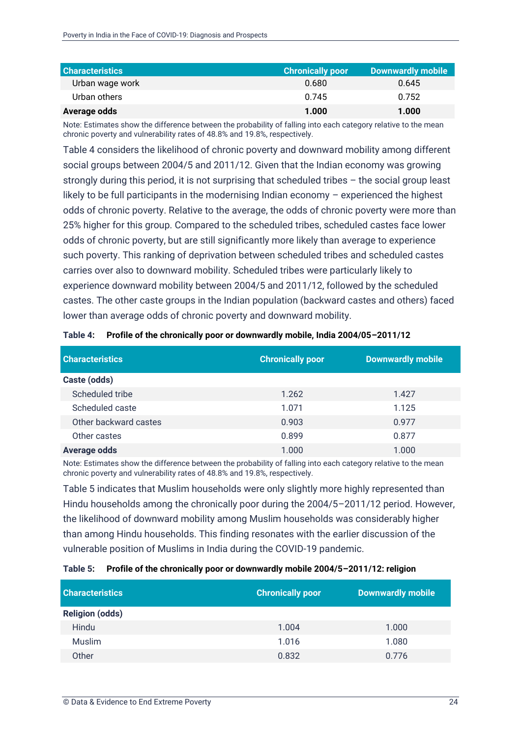| <b>Characteristics</b> | <b>Chronically poor</b> | Downwardly mobile |
|------------------------|-------------------------|-------------------|
| Urban wage work        | 0.680                   | 0.645             |
| Urban others           | 0.745                   | 0.752             |
| Average odds           | 1.000                   | 1.000             |

Note: Estimates show the difference between the probability of falling into each category relative to the mean chronic poverty and vulnerability rates of 48.8% and 19.8%, respectively.

Table 4 considers the likelihood of chronic poverty and downward mobility among different social groups between 2004/5 and 2011/12. Given that the Indian economy was growing strongly during this period, it is not surprising that scheduled tribes – the social group least likely to be full participants in the modernising Indian economy – experienced the highest odds of chronic poverty. Relative to the average, the odds of chronic poverty were more than 25% higher for this group. Compared to the scheduled tribes, scheduled castes face lower odds of chronic poverty, but are still significantly more likely than average to experience such poverty. This ranking of deprivation between scheduled tribes and scheduled castes carries over also to downward mobility. Scheduled tribes were particularly likely to experience downward mobility between 2004/5 and 2011/12, followed by the scheduled castes. The other caste groups in the Indian population (backward castes and others) faced lower than average odds of chronic poverty and downward mobility.

| <b>Characteristics</b> | <b>Chronically poor</b> | <b>Downwardly mobile</b> |
|------------------------|-------------------------|--------------------------|
| Caste (odds)           |                         |                          |
| Scheduled tribe        | 1.262                   | 1.427                    |
| Scheduled caste        | 1.071                   | 1.125                    |
| Other backward castes  | 0.903                   | 0.977                    |
| Other castes           | 0.899                   | 0.877                    |
| <b>Average odds</b>    | 1.000                   | 1.000                    |

<span id="page-29-0"></span>**Table 4: Profile of the chronically poor or downwardly mobile, India 2004/05–2011/12**

Note: Estimates show the difference between the probability of falling into each category relative to the mean chronic poverty and vulnerability rates of 48.8% and 19.8%, respectively.

Table 5 indicates that Muslim households were only slightly more highly represented than Hindu households among the chronically poor during the 2004/5–2011/12 period. However, the likelihood of downward mobility among Muslim households was considerably higher than among Hindu households. This finding resonates with the earlier discussion of the vulnerable position of Muslims in India during the COVID-19 pandemic.

#### <span id="page-29-1"></span>**Table 5: Profile of the chronically poor or downwardly mobile 2004/5–2011/12: religion**

| <b>Characteristics</b> | <b>Chronically poor</b> | <b>Downwardly mobile</b> |
|------------------------|-------------------------|--------------------------|
| <b>Religion (odds)</b> |                         |                          |
| Hindu                  | 1.004                   | 1.000                    |
| Muslim                 | 1.016                   | 1.080                    |
| Other                  | 0.832                   | 0.776                    |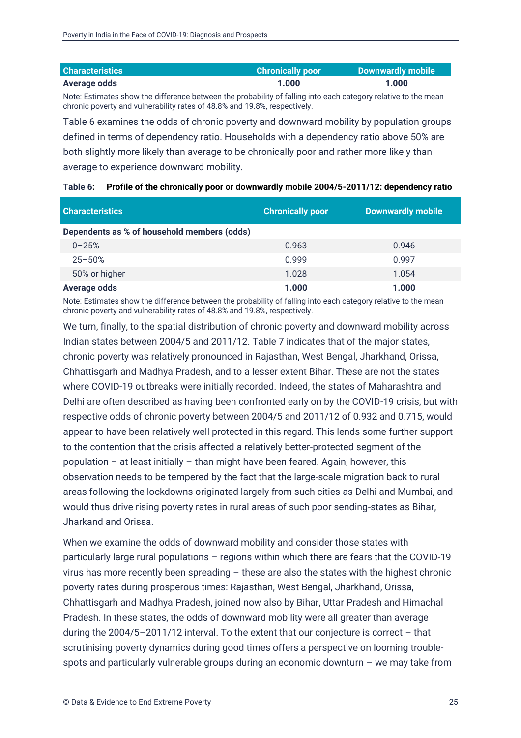| <b>Characteristics</b> | <b>Chronically poor</b> | Downwardly mobile |
|------------------------|-------------------------|-------------------|
| Average odds           | 1.000                   | 1.000             |

Note: Estimates show the difference between the probability of falling into each category relative to the mean chronic poverty and vulnerability rates of 48.8% and 19.8%, respectively.

Table 6 examines the odds of chronic poverty and downward mobility by population groups defined in terms of dependency ratio. Households with a dependency ratio above 50% are both slightly more likely than average to be chronically poor and rather more likely than average to experience downward mobility.

| <b>Characteristics</b>                      | <b>Chronically poor</b> | <b>Downwardly mobile</b> |
|---------------------------------------------|-------------------------|--------------------------|
| Dependents as % of household members (odds) |                         |                          |
| $0 - 25%$                                   | 0.963                   | 0.946                    |
| $25 - 50%$                                  | 0.999                   | 0.997                    |
| 50% or higher                               | 1.028                   | 1.054                    |
| <b>Average odds</b>                         | 1.000                   | 1.000                    |

<span id="page-30-0"></span>

|  | Table 6: Profile of the chronically poor or downwardly mobile 2004/5-2011/12: dependency ratio |  |
|--|------------------------------------------------------------------------------------------------|--|
|--|------------------------------------------------------------------------------------------------|--|

Note: Estimates show the difference between the probability of falling into each category relative to the mean chronic poverty and vulnerability rates of 48.8% and 19.8%, respectively.

We turn, finally, to the spatial distribution of chronic poverty and downward mobility across Indian states between 2004/5 and 2011/12. Table 7 indicates that of the major states, chronic poverty was relatively pronounced in Rajasthan, West Bengal, Jharkhand, Orissa, Chhattisgarh and Madhya Pradesh, and to a lesser extent Bihar. These are not the states where COVID-19 outbreaks were initially recorded. Indeed, the states of Maharashtra and Delhi are often described as having been confronted early on by the COVID-19 crisis, but with respective odds of chronic poverty between 2004/5 and 2011/12 of 0.932 and 0.715, would appear to have been relatively well protected in this regard. This lends some further support to the contention that the crisis affected a relatively better-protected segment of the population – at least initially – than might have been feared. Again, however, this observation needs to be tempered by the fact that the large-scale migration back to rural areas following the lockdowns originated largely from such cities as Delhi and Mumbai, and would thus drive rising poverty rates in rural areas of such poor sending-states as Bihar, Jharkand and Orissa.

When we examine the odds of downward mobility and consider those states with particularly large rural populations – regions within which there are fears that the COVID-19 virus has more recently been spreading – these are also the states with the highest chronic poverty rates during prosperous times: Rajasthan, West Bengal, Jharkhand, Orissa, Chhattisgarh and Madhya Pradesh, joined now also by Bihar, Uttar Pradesh and Himachal Pradesh. In these states, the odds of downward mobility were all greater than average during the 2004/5–2011/12 interval. To the extent that our conjecture is correct – that scrutinising poverty dynamics during good times offers a perspective on looming troublespots and particularly vulnerable groups during an economic downturn – we may take from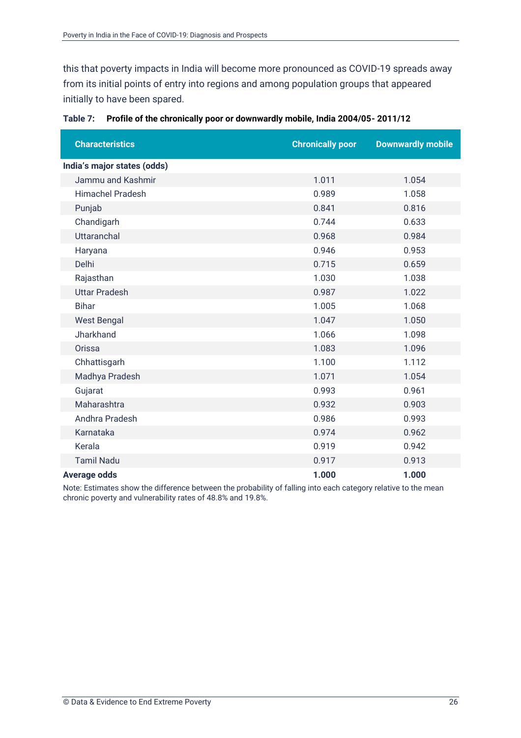this that poverty impacts in India will become more pronounced as COVID-19 spreads away from its initial points of entry into regions and among population groups that appeared initially to have been spared.

| <b>Characteristics</b>      | <b>Chronically poor</b> | <b>Downwardly mobile</b> |
|-----------------------------|-------------------------|--------------------------|
| India's major states (odds) |                         |                          |
| Jammu and Kashmir           | 1.011                   | 1.054                    |
| <b>Himachel Pradesh</b>     | 0.989                   | 1.058                    |
| Punjab                      | 0.841                   | 0.816                    |
| Chandigarh                  | 0.744                   | 0.633                    |
| <b>Uttaranchal</b>          | 0.968                   | 0.984                    |
| Haryana                     | 0.946                   | 0.953                    |
| Delhi                       | 0.715                   | 0.659                    |
| Rajasthan                   | 1.030                   | 1.038                    |
| <b>Uttar Pradesh</b>        | 0.987                   | 1.022                    |
| <b>Bihar</b>                | 1.005                   | 1.068                    |
| <b>West Bengal</b>          | 1.047                   | 1.050                    |
| Jharkhand                   | 1.066                   | 1.098                    |
| Orissa                      | 1.083                   | 1.096                    |
| Chhattisgarh                | 1.100                   | 1.112                    |
| Madhya Pradesh              | 1.071                   | 1.054                    |
| Gujarat                     | 0.993                   | 0.961                    |
| Maharashtra                 | 0.932                   | 0.903                    |
| Andhra Pradesh              | 0.986                   | 0.993                    |
| Karnataka                   | 0.974                   | 0.962                    |
| Kerala                      | 0.919                   | 0.942                    |
| <b>Tamil Nadu</b>           | 0.917                   | 0.913                    |
| <b>Average odds</b>         | 1.000                   | 1.000                    |

<span id="page-31-0"></span>

|  | Table 7: Profile of the chronically poor or downwardly mobile, India 2004/05-2011/12 |  |  |  |
|--|--------------------------------------------------------------------------------------|--|--|--|
|--|--------------------------------------------------------------------------------------|--|--|--|

Note: Estimates show the difference between the probability of falling into each category relative to the mean chronic poverty and vulnerability rates of 48.8% and 19.8%.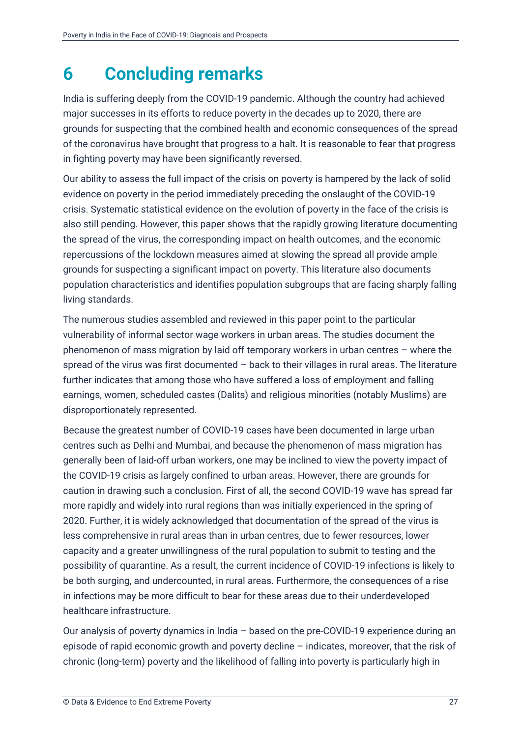### <span id="page-32-0"></span>**6 Concluding remarks**

India is suffering deeply from the COVID-19 pandemic. Although the country had achieved major successes in its efforts to reduce poverty in the decades up to 2020, there are grounds for suspecting that the combined health and economic consequences of the spread of the coronavirus have brought that progress to a halt. It is reasonable to fear that progress in fighting poverty may have been significantly reversed.

Our ability to assess the full impact of the crisis on poverty is hampered by the lack of solid evidence on poverty in the period immediately preceding the onslaught of the COVID-19 crisis. Systematic statistical evidence on the evolution of poverty in the face of the crisis is also still pending. However, this paper shows that the rapidly growing literature documenting the spread of the virus, the corresponding impact on health outcomes, and the economic repercussions of the lockdown measures aimed at slowing the spread all provide ample grounds for suspecting a significant impact on poverty. This literature also documents population characteristics and identifies population subgroups that are facing sharply falling living standards.

The numerous studies assembled and reviewed in this paper point to the particular vulnerability of informal sector wage workers in urban areas. The studies document the phenomenon of mass migration by laid off temporary workers in urban centres – where the spread of the virus was first documented – back to their villages in rural areas. The literature further indicates that among those who have suffered a loss of employment and falling earnings, women, scheduled castes (Dalits) and religious minorities (notably Muslims) are disproportionately represented.

Because the greatest number of COVID-19 cases have been documented in large urban centres such as Delhi and Mumbai, and because the phenomenon of mass migration has generally been of laid-off urban workers, one may be inclined to view the poverty impact of the COVID-19 crisis as largely confined to urban areas. However, there are grounds for caution in drawing such a conclusion. First of all, the second COVID-19 wave has spread far more rapidly and widely into rural regions than was initially experienced in the spring of 2020. Further, it is widely acknowledged that documentation of the spread of the virus is less comprehensive in rural areas than in urban centres, due to fewer resources, lower capacity and a greater unwillingness of the rural population to submit to testing and the possibility of quarantine. As a result, the current incidence of COVID-19 infections is likely to be both surging, and undercounted, in rural areas. Furthermore, the consequences of a rise in infections may be more difficult to bear for these areas due to their underdeveloped healthcare infrastructure.

Our analysis of poverty dynamics in India – based on the pre-COVID-19 experience during an episode of rapid economic growth and poverty decline – indicates, moreover, that the risk of chronic (long-term) poverty and the likelihood of falling into poverty is particularly high in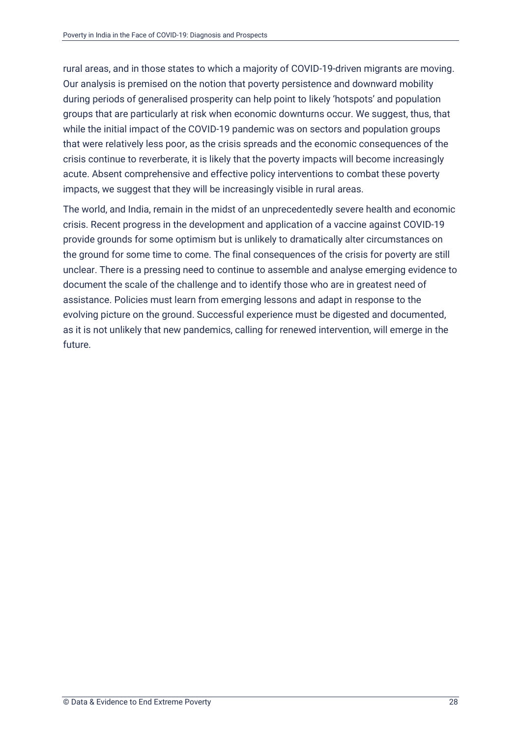rural areas, and in those states to which a majority of COVID-19-driven migrants are moving. Our analysis is premised on the notion that poverty persistence and downward mobility during periods of generalised prosperity can help point to likely 'hotspots' and population groups that are particularly at risk when economic downturns occur. We suggest, thus, that while the initial impact of the COVID-19 pandemic was on sectors and population groups that were relatively less poor, as the crisis spreads and the economic consequences of the crisis continue to reverberate, it is likely that the poverty impacts will become increasingly acute. Absent comprehensive and effective policy interventions to combat these poverty impacts, we suggest that they will be increasingly visible in rural areas.

The world, and India, remain in the midst of an unprecedentedly severe health and economic crisis. Recent progress in the development and application of a vaccine against COVID-19 provide grounds for some optimism but is unlikely to dramatically alter circumstances on the ground for some time to come. The final consequences of the crisis for poverty are still unclear. There is a pressing need to continue to assemble and analyse emerging evidence to document the scale of the challenge and to identify those who are in greatest need of assistance. Policies must learn from emerging lessons and adapt in response to the evolving picture on the ground. Successful experience must be digested and documented, as it is not unlikely that new pandemics, calling for renewed intervention, will emerge in the future.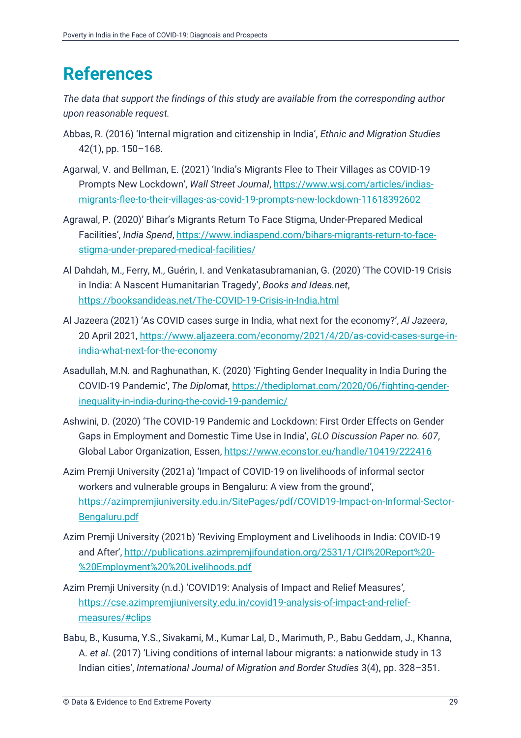### <span id="page-34-0"></span>**References**

*The data that support the findings of this study are available from the corresponding author upon reasonable request.*

- Abbas, R. (2016) 'Internal migration and citizenship in India', *Ethnic and Migration Studies*  42(1), pp. 150–168.
- Agarwal, V. and Bellman, E. (2021) 'India's Migrants Flee to Their Villages as COVID-19 Prompts New Lockdown', *Wall Street Journal*, [https://www.wsj.com/articles/indias](https://www.wsj.com/articles/indias-migrants-flee-to-their-villages-as-covid-19-prompts-new-lockdown-11618392602)[migrants-flee-to-their-villages-as-covid-19-prompts-new-lockdown-11618392602](https://www.wsj.com/articles/indias-migrants-flee-to-their-villages-as-covid-19-prompts-new-lockdown-11618392602)
- Agrawal, P. (2020)' Bihar's Migrants Return To Face Stigma, Under-Prepared Medical Facilities', *India Spend*[, https://www.indiaspend.com/bihars-migrants-return-to-face](https://www.indiaspend.com/bihars-migrants-return-to-face-stigma-under-prepared-medical-facilities/)[stigma-under-prepared-medical-facilities/](https://www.indiaspend.com/bihars-migrants-return-to-face-stigma-under-prepared-medical-facilities/)
- Al Dahdah, M., Ferry, M., Guérin, I. and Venkatasubramanian, G. (2020) 'The COVID-19 Crisis in India: A Nascent Humanitarian Tragedy', *Books and Ideas.net*, <https://booksandideas.net/The-COVID-19-Crisis-in-India.html>
- Al Jazeera (2021) 'As COVID cases surge in India, what next for the economy?', *Al Jazeera*, 20 April 2021, [https://www.aljazeera.com/economy/2021/4/20/as-covid-cases-surge-in](https://www.aljazeera.com/economy/2021/4/20/as-covid-cases-surge-in-india-what-next-for-the-economy)[india-what-next-for-the-economy](https://www.aljazeera.com/economy/2021/4/20/as-covid-cases-surge-in-india-what-next-for-the-economy)
- Asadullah, M.N. and Raghunathan, K. (2020) 'Fighting Gender Inequality in India During the COVID-19 Pandemic', *The Diplomat*, [https://thediplomat.com/2020/06/fighting-gender](https://thediplomat.com/2020/06/fighting-gender-inequality-in-india-during-the-covid-19-pandemic/)[inequality-in-india-during-the-covid-19-pandemic/](https://thediplomat.com/2020/06/fighting-gender-inequality-in-india-during-the-covid-19-pandemic/)
- Ashwini, D. (2020) 'The COVID-19 Pandemic and Lockdown: First Order Effects on Gender Gaps in Employment and Domestic Time Use in India', *GLO Discussion Paper no. 607*, Global Labor Organization, Essen,<https://www.econstor.eu/handle/10419/222416>
- Azim Premji University (2021a) 'Impact of COVID-19 on livelihoods of informal sector workers and vulnerable groups in Bengaluru: A view from the ground', [https://azimpremjiuniversity.edu.in/SitePages/pdf/COVID19-Impact-on-Informal-Sector-](https://azimpremjiuniversity.edu.in/SitePages/pdf/COVID19-Impact-on-Informal-Sector-Bengaluru.pdf)[Bengaluru.pdf](https://azimpremjiuniversity.edu.in/SitePages/pdf/COVID19-Impact-on-Informal-Sector-Bengaluru.pdf)
- Azim Premji University (2021b) 'Reviving Employment and Livelihoods in India: COVID-19 and After', [http://publications.azimpremjifoundation.org/2531/1/CII%20Report%20-](http://publications.azimpremjifoundation.org/2531/1/CII%20Report%20-%20Employment%20%20Livelihoods.pdf) [%20Employment%20%20Livelihoods.pdf](http://publications.azimpremjifoundation.org/2531/1/CII%20Report%20-%20Employment%20%20Livelihoods.pdf)
- Azim Premji University (n.d.) 'COVID19: Analysis of Impact and Relief Measures*'*, [https://cse.azimpremjiuniversity.edu.in/covid19-analysis-of-impact-and-relief](https://cse.azimpremjiuniversity.edu.in/covid19-analysis-of-impact-and-relief-measures/#clips)[measures/#clips](https://cse.azimpremjiuniversity.edu.in/covid19-analysis-of-impact-and-relief-measures/#clips)
- Babu, B., Kusuma, Y.S., Sivakami, M., Kumar Lal, D., Marimuth, P., Babu Geddam, J., Khanna, A. *et al*. (2017) 'Living conditions of internal labour migrants: a nationwide study in 13 Indian cities', *International Journal of Migration and Border Studies* 3(4), pp. 328–351.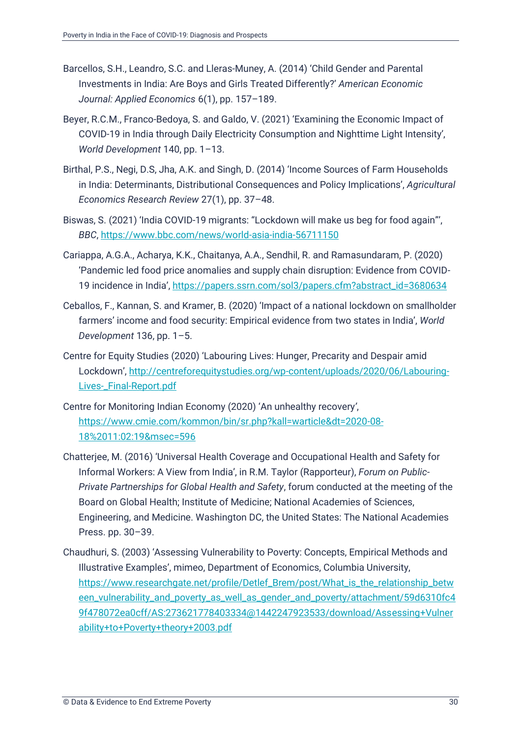- Barcellos, S.H., Leandro, S.C. and Lleras-Muney, A. (2014) 'Child Gender and Parental Investments in India: Are Boys and Girls Treated Differently?' *American Economic Journal: Applied Economics* 6(1), pp. 157–189.
- Beyer, R.C.M., Franco-Bedoya, S. and Galdo, V. (2021) 'Examining the Economic Impact of COVID-19 in India through Daily Electricity Consumption and Nighttime Light Intensity', *World Development* 140, pp. 1–13.
- Birthal, P.S., Negi, D.S, Jha, A.K. and Singh, D. (2014) 'Income Sources of Farm Households in India: Determinants, Distributional Consequences and Policy Implications', *Agricultural Economics Research Review* 27(1), pp. 37–48.
- Biswas, S. (2021) 'India COVID-19 migrants: "Lockdown will make us beg for food again"', *BBC*, <https://www.bbc.com/news/world-asia-india-56711150>
- Cariappa, A.G.A., Acharya, K.K., Chaitanya, A.A., Sendhil, R. and Ramasundaram, P. (2020) 'Pandemic led food price anomalies and supply chain disruption: Evidence from COVID-19 incidence in India', [https://papers.ssrn.com/sol3/papers.cfm?abstract\\_id=3680634](https://papers.ssrn.com/sol3/papers.cfm?abstract_id=3680634)
- Ceballos, F., Kannan, S. and Kramer, B. (2020) 'Impact of a national lockdown on smallholder farmers' income and food security: Empirical evidence from two states in India', *World Development* 136, pp. 1–5.
- Centre for Equity Studies (2020) 'Labouring Lives: Hunger, Precarity and Despair amid Lockdown', [http://centreforequitystudies.org/wp-content/uploads/2020/06/Labouring-](http://centreforequitystudies.org/wp-content/uploads/2020/06/Labouring-Lives-_Final-Report.pdf)[Lives-\\_Final-Report.pdf](http://centreforequitystudies.org/wp-content/uploads/2020/06/Labouring-Lives-_Final-Report.pdf)
- Centre for Monitoring Indian Economy (2020) 'An unhealthy recovery*'*, [https://www.cmie.com/kommon/bin/sr.php?kall=warticle&dt=2020-08-](https://www.cmie.com/kommon/bin/sr.php?kall=warticle&dt=2020-08-18%2011:02:19&msec=596) [18%2011:02:19&msec=596](https://www.cmie.com/kommon/bin/sr.php?kall=warticle&dt=2020-08-18%2011:02:19&msec=596)
- Chatterjee, M. (2016) 'Universal Health Coverage and Occupational Health and Safety for Informal Workers: A View from India', in R.M. Taylor (Rapporteur), *Forum on Public-Private Partnerships for Global Health and Safety*, forum conducted at the meeting of the Board on Global Health; Institute of Medicine; National Academies of Sciences, Engineering, and Medicine. Washington DC, the United States: The National Academies Press. pp. 30–39.
- Chaudhuri, S. (2003) 'Assessing Vulnerability to Poverty: Concepts, Empirical Methods and Illustrative Examples', mimeo, Department of Economics, Columbia University, [https://www.researchgate.net/profile/Detlef\\_Brem/post/What\\_is\\_the\\_relationship\\_betw](https://www.researchgate.net/profile/Detlef_Brem/post/What_is_the_relationship_between_vulnerability_and_poverty_as_well_as_gender_and_poverty/attachment/59d6310fc49f478072ea0cff/AS:273621778403334@1442247923533/download/Assessing+Vulnerability+to+Poverty+theory+2003.pdf) [een\\_vulnerability\\_and\\_poverty\\_as\\_well\\_as\\_gender\\_and\\_poverty/attachment/59d6310fc4](https://www.researchgate.net/profile/Detlef_Brem/post/What_is_the_relationship_between_vulnerability_and_poverty_as_well_as_gender_and_poverty/attachment/59d6310fc49f478072ea0cff/AS:273621778403334@1442247923533/download/Assessing+Vulnerability+to+Poverty+theory+2003.pdf) [9f478072ea0cff/AS:273621778403334@1442247923533/download/Assessing+Vulner](https://www.researchgate.net/profile/Detlef_Brem/post/What_is_the_relationship_between_vulnerability_and_poverty_as_well_as_gender_and_poverty/attachment/59d6310fc49f478072ea0cff/AS:273621778403334@1442247923533/download/Assessing+Vulnerability+to+Poverty+theory+2003.pdf) [ability+to+Poverty+theory+2003.pdf](https://www.researchgate.net/profile/Detlef_Brem/post/What_is_the_relationship_between_vulnerability_and_poverty_as_well_as_gender_and_poverty/attachment/59d6310fc49f478072ea0cff/AS:273621778403334@1442247923533/download/Assessing+Vulnerability+to+Poverty+theory+2003.pdf)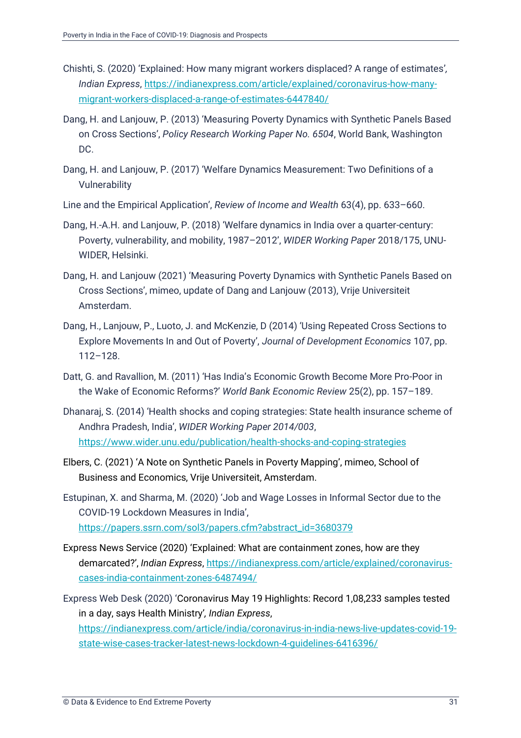- Chishti, S. (2020) 'Explained: How many migrant workers displaced? A range of estimates'*, Indian Express*, [https://indianexpress.com/article/explained/coronavirus-how-many](https://indianexpress.com/article/explained/coronavirus-how-many-migrant-workers-displaced-a-range-of-estimates-6447840/)[migrant-workers-displaced-a-range-of-estimates-6447840/](https://indianexpress.com/article/explained/coronavirus-how-many-migrant-workers-displaced-a-range-of-estimates-6447840/)
- Dang, H. and Lanjouw, P. (2013) 'Measuring Poverty Dynamics with Synthetic Panels Based on Cross Sections', *Policy Research Working Paper No. 6504*, World Bank, Washington DC.
- Dang, H. and Lanjouw, P. (2017) 'Welfare Dynamics Measurement: Two Definitions of a Vulnerability
- Line and the Empirical Application', *Review of Income and Wealth* 63(4), pp. 633–660.
- Dang, H.-A.H. and Lanjouw, P. (2018) 'Welfare dynamics in India over a quarter-century: Poverty, vulnerability, and mobility, 1987–2012', *WIDER Working Paper* 2018/175, UNU-WIDER, Helsinki.
- Dang, H. and Lanjouw (2021) 'Measuring Poverty Dynamics with Synthetic Panels Based on Cross Sections', mimeo, update of Dang and Lanjouw (2013), Vrije Universiteit Amsterdam.
- Dang, H., Lanjouw, P., Luoto, J. and McKenzie, D (2014) 'Using Repeated Cross Sections to Explore Movements In and Out of Poverty', *Journal of Development Economics* 107, pp. 112–128.
- Datt, G. and Ravallion, M. (2011) 'Has India's Economic Growth Become More Pro-Poor in the Wake of Economic Reforms?' *World Bank Economic Review* 25(2), pp. 157–189.
- Dhanaraj, S. (2014) 'Health shocks and coping strategies: State health insurance scheme of Andhra Pradesh, India', *WIDER Working Paper 2014/003*, <https://www.wider.unu.edu/publication/health-shocks-and-coping-strategies>
- Elbers, C. (2021) 'A Note on Synthetic Panels in Poverty Mapping', mimeo, School of Business and Economics, Vrije Universiteit, Amsterdam.
- Estupinan, X. and Sharma, M. (2020) 'Job and Wage Losses in Informal Sector due to the COVID-19 Lockdown Measures in India', [https://papers.ssrn.com/sol3/papers.cfm?abstract\\_id=3680379](https://papers.ssrn.com/sol3/papers.cfm?abstract_id=3680379)
- Express News Service (2020) 'Explained: What are containment zones, how are they demarcated?', *Indian Express*, [https://indianexpress.com/article/explained/coronavirus](https://indianexpress.com/article/explained/coronavirus-cases-india-containment-zones-6487494/)[cases-india-containment-zones-6487494/](https://indianexpress.com/article/explained/coronavirus-cases-india-containment-zones-6487494/)
- Express Web Desk (2020) 'Coronavirus May 19 Highlights: Record 1,08,233 samples tested in a day, says Health Ministry'*, Indian Express*, [https://indianexpress.com/article/india/coronavirus-in-india-news-live-updates-covid-19](https://indianexpress.com/article/india/coronavirus-in-india-news-live-updates-covid-19-state-wise-cases-tracker-latest-news-lockdown-4-guidelines-6416396/) [state-wise-cases-tracker-latest-news-lockdown-4-guidelines-6416396/](https://indianexpress.com/article/india/coronavirus-in-india-news-live-updates-covid-19-state-wise-cases-tracker-latest-news-lockdown-4-guidelines-6416396/)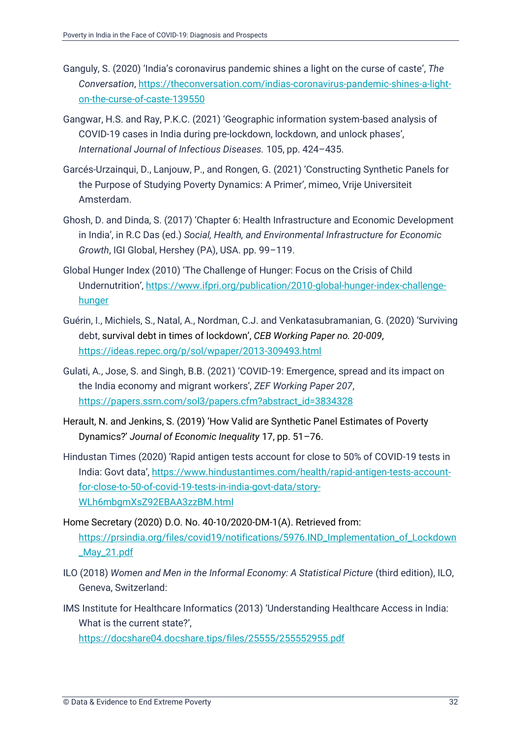- Ganguly, S. (2020) 'India's coronavirus pandemic shines a light on the curse of caste', *The Conversation*, [https://theconversation.com/indias-coronavirus-pandemic-shines-a-light](https://theconversation.com/indias-coronavirus-pandemic-shines-a-light-on-the-curse-of-caste-139550)[on-the-curse-of-caste-139550](https://theconversation.com/indias-coronavirus-pandemic-shines-a-light-on-the-curse-of-caste-139550)
- Gangwar, H.S. and Ray, P.K.C. (2021) 'Geographic information system-based analysis of COVID-19 cases in India during pre-lockdown, lockdown, and unlock phases', *International Journal of Infectious Diseases.* 105, pp. 424–435.
- Garcés-Urzainqui, D., Lanjouw, P., and Rongen, G. (2021) 'Constructing Synthetic Panels for the Purpose of Studying Poverty Dynamics: A Primer', mimeo, Vrije Universiteit Amsterdam.
- Ghosh, D. and Dinda, S. (2017) 'Chapter 6: Health Infrastructure and Economic Development in India', in R.C Das (ed.) *Social, Health, and Environmental Infrastructure for Economic Growth*, IGI Global, Hershey (PA), USA. pp. 99–119.
- Global Hunger Index (2010) 'The Challenge of Hunger: Focus on the Crisis of Child Undernutrition', [https://www.ifpri.org/publication/2010-global-hunger-index-challenge](https://www.ifpri.org/publication/2010-global-hunger-index-challenge-hunger)[hunger](https://www.ifpri.org/publication/2010-global-hunger-index-challenge-hunger)
- Guérin, I., Michiels, S., Natal, A., Nordman, C.J. and Venkatasubramanian, G. (2020) 'Surviving debt, survival debt in times of lockdown', *CEB Working Paper no. 20-009*, <https://ideas.repec.org/p/sol/wpaper/2013-309493.html>
- Gulati, A., Jose, S. and Singh, B.B. (2021) 'COVID-19: Emergence, spread and its impact on the India economy and migrant workers', *ZEF Working Paper 207*, [https://papers.ssrn.com/sol3/papers.cfm?abstract\\_id=3834328](https://papers.ssrn.com/sol3/papers.cfm?abstract_id=3834328)
- Herault, N. and Jenkins, S. (2019) 'How Valid are Synthetic Panel Estimates of Poverty Dynamics?' *Journal of Economic Inequality* 17, pp. 51–76.
- Hindustan Times (2020) 'Rapid antigen tests account for close to 50% of COVID-19 tests in India: Govt data', [https://www.hindustantimes.com/health/rapid-antigen-tests-account](https://www.hindustantimes.com/health/rapid-antigen-tests-account-for-close-to-50-of-covid-19-tests-in-india-govt-data/story-WLh6mbgmXsZ92EBAA3zzBM.html)[for-close-to-50-of-covid-19-tests-in-india-govt-data/story-](https://www.hindustantimes.com/health/rapid-antigen-tests-account-for-close-to-50-of-covid-19-tests-in-india-govt-data/story-WLh6mbgmXsZ92EBAA3zzBM.html)[WLh6mbgmXsZ92EBAA3zzBM.html](https://www.hindustantimes.com/health/rapid-antigen-tests-account-for-close-to-50-of-covid-19-tests-in-india-govt-data/story-WLh6mbgmXsZ92EBAA3zzBM.html)
- Home Secretary (2020) D.O. No. 40-10/2020-DM-1(A). Retrieved from: [https://prsindia.org/files/covid19/notifications/5976.IND\\_Implementation\\_of\\_Lockdown](https://prsindia.org/files/covid19/notifications/5976.IND_Implementation_of_Lockdown_May_21.pdf) [\\_May\\_21.pdf](https://prsindia.org/files/covid19/notifications/5976.IND_Implementation_of_Lockdown_May_21.pdf)
- ILO (2018) *Women and Men in the Informal Economy: A Statistical Picture (third edition), ILO,* Geneva, Switzerland:
- IMS Institute for Healthcare Informatics (2013) 'Understanding Healthcare Access in India: What is the current state?',

<https://docshare04.docshare.tips/files/25555/255552955.pdf>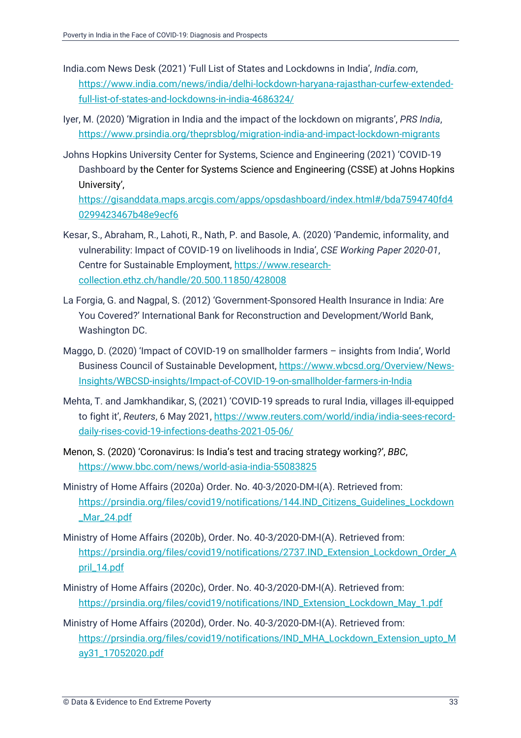- India.com News Desk (2021) 'Full List of States and Lockdowns in India', *India.com*, [https://www.india.com/news/india/delhi-lockdown-haryana-rajasthan-curfew-extended](https://www.india.com/news/india/delhi-lockdown-haryana-rajasthan-curfew-extended-full-list-of-states-and-lockdowns-in-india-4686324/)[full-list-of-states-and-lockdowns-in-india-4686324/](https://www.india.com/news/india/delhi-lockdown-haryana-rajasthan-curfew-extended-full-list-of-states-and-lockdowns-in-india-4686324/)
- Iyer, M. (2020) 'Migration in India and the impact of the lockdown on migrants', *PRS India*, <https://www.prsindia.org/theprsblog/migration-india-and-impact-lockdown-migrants>
- Johns Hopkins University Center for Systems, Science and Engineering (2021) 'COVID-19 Dashboard by the Center for Systems Science and Engineering (CSSE) at Johns Hopkins University',

[https://gisanddata.maps.arcgis.com/apps/opsdashboard/index.html#/bda7594740fd4](https://gisanddata.maps.arcgis.com/apps/opsdashboard/index.html#/bda7594740fd40299423467b48e9ecf6) [0299423467b48e9ecf6](https://gisanddata.maps.arcgis.com/apps/opsdashboard/index.html#/bda7594740fd40299423467b48e9ecf6)

- Kesar, S., Abraham, R., Lahoti, R., Nath, P. and Basole, A. (2020) 'Pandemic, informality, and vulnerability: Impact of COVID-19 on livelihoods in India', *CSE Working Paper 2020-01*, Centre for Sustainable Employment, [https://www.research](https://www.research-collection.ethz.ch/handle/20.500.11850/428008)[collection.ethz.ch/handle/20.500.11850/428008](https://www.research-collection.ethz.ch/handle/20.500.11850/428008)
- La Forgia, G. and Nagpal, S. (2012) 'Government-Sponsored Health Insurance in India: Are You Covered?' International Bank for Reconstruction and Development/World Bank, Washington DC.
- Maggo, D. (2020) 'Impact of COVID-19 on smallholder farmers insights from India', World Business Council of Sustainable Development, [https://www.wbcsd.org/Overview/News-](https://www.wbcsd.org/Overview/News-Insights/WBCSD-insights/Impact-of-COVID-19-on-smallholder-farmers-in-India)[Insights/WBCSD-insights/Impact-of-COVID-19-on-smallholder-farmers-in-India](https://www.wbcsd.org/Overview/News-Insights/WBCSD-insights/Impact-of-COVID-19-on-smallholder-farmers-in-India)
- Mehta, T. and Jamkhandikar, S, (2021) 'COVID-19 spreads to rural India, villages ill-equipped to fight it', *Reuters*, 6 May 2021, [https://www.reuters.com/world/india/india-sees-record](https://www.reuters.com/world/india/india-sees-record-daily-rises-covid-19-infections-deaths-2021-05-06/)[daily-rises-covid-19-infections-deaths-2021-05-06/](https://www.reuters.com/world/india/india-sees-record-daily-rises-covid-19-infections-deaths-2021-05-06/)
- Menon, S. (2020) 'Coronavirus: Is India's test and tracing strategy working?', *BBC*, <https://www.bbc.com/news/world-asia-india-55083825>
- Ministry of Home Affairs (2020a) Order. No. 40-3/2020-DM-I(A). Retrieved from: [https://prsindia.org/files/covid19/notifications/144.IND\\_Citizens\\_Guidelines\\_Lockdown](https://prsindia.org/files/covid19/notifications/144.IND_Citizens_Guidelines_Lockdown_Mar_24.pdf) [\\_Mar\\_24.pdf](https://prsindia.org/files/covid19/notifications/144.IND_Citizens_Guidelines_Lockdown_Mar_24.pdf)
- Ministry of Home Affairs (2020b), Order. No. 40-3/2020-DM-I(A). Retrieved from: [https://prsindia.org/files/covid19/notifications/2737.IND\\_Extension\\_Lockdown\\_Order\\_A](https://prsindia.org/files/covid19/notifications/2737.IND_Extension_Lockdown_Order_April_14.pdf) [pril\\_14.pdf](https://prsindia.org/files/covid19/notifications/2737.IND_Extension_Lockdown_Order_April_14.pdf)
- Ministry of Home Affairs (2020c), Order. No. 40-3/2020-DM-I(A). Retrieved from: [https://prsindia.org/files/covid19/notifications/IND\\_Extension\\_Lockdown\\_May\\_1.pdf](https://prsindia.org/files/covid19/notifications/IND_Extension_Lockdown_May_1.pdf)
- Ministry of Home Affairs (2020d), Order. No. 40-3/2020-DM-I(A). Retrieved from: [https://prsindia.org/files/covid19/notifications/IND\\_MHA\\_Lockdown\\_Extension\\_upto\\_M](https://prsindia.org/files/covid19/notifications/IND_MHA_Lockdown_Extension_upto_May31_17052020.pdf) [ay31\\_17052020.pdf](https://prsindia.org/files/covid19/notifications/IND_MHA_Lockdown_Extension_upto_May31_17052020.pdf)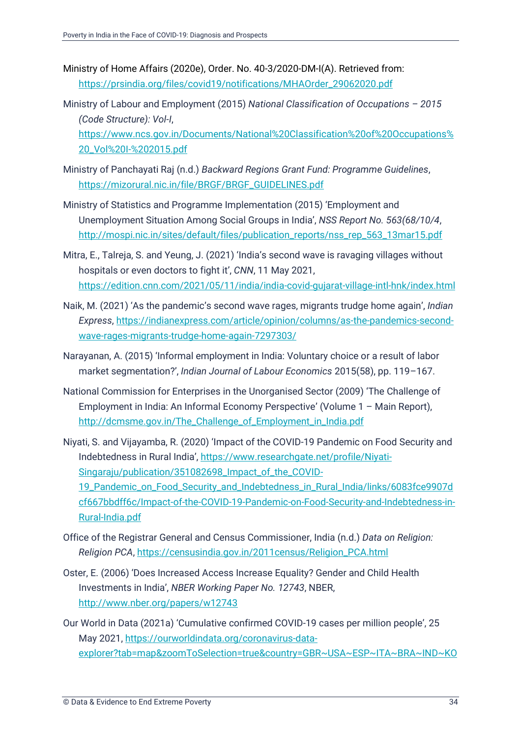Ministry of Home Affairs (2020e), Order. No. 40-3/2020-DM-I(A). Retrieved from: [https://prsindia.org/files/covid19/notifications/MHAOrder\\_29062020.pdf](https://prsindia.org/files/covid19/notifications/MHAOrder_29062020.pdf)

Ministry of Labour and Employment (2015) *National Classification of Occupations – 2015 (Code Structure): Vol-I*, [https://www.ncs.gov.in/Documents/National%20Classification%20of%20Occupations%](https://www.ncs.gov.in/Documents/National%20Classification%20of%20Occupations%20_Vol%20I-%202015.pdf) [20\\_Vol%20I-%202015.pdf](https://www.ncs.gov.in/Documents/National%20Classification%20of%20Occupations%20_Vol%20I-%202015.pdf)

- Ministry of Panchayati Raj (n.d.) *Backward Regions Grant Fund: Programme Guidelines*, [https://mizorural.nic.in/file/BRGF/BRGF\\_GUIDELINES.pdf](https://mizorural.nic.in/file/BRGF/BRGF_GUIDELINES.pdf)
- Ministry of Statistics and Programme Implementation (2015) 'Employment and Unemployment Situation Among Social Groups in India', *NSS Report No. 563(68/10/4*, [http://mospi.nic.in/sites/default/files/publication\\_reports/nss\\_rep\\_563\\_13mar15.pdf](http://mospi.nic.in/sites/default/files/publication_reports/nss_rep_563_13mar15.pdf)
- Mitra, E., Talreja, S. and Yeung, J. (2021) 'India's second wave is ravaging villages without hospitals or even doctors to fight it', *CNN*, 11 May 2021, <https://edition.cnn.com/2021/05/11/india/india-covid-gujarat-village-intl-hnk/index.html>
- Naik, M. (2021) 'As the pandemic's second wave rages, migrants trudge home again', *Indian Express*[, https://indianexpress.com/article/opinion/columns/as-the-pandemics-second](https://indianexpress.com/article/opinion/columns/as-the-pandemics-second-wave-rages-migrants-trudge-home-again-7297303/)[wave-rages-migrants-trudge-home-again-7297303/](https://indianexpress.com/article/opinion/columns/as-the-pandemics-second-wave-rages-migrants-trudge-home-again-7297303/)
- Narayanan, A. (2015) 'Informal employment in India: Voluntary choice or a result of labor market segmentation?', *Indian Journal of Labour Economics* 2015(58), pp. 119–167.
- National Commission for Enterprises in the Unorganised Sector (2009) 'The Challenge of Employment in India: An Informal Economy Perspective' (Volume 1 – Main Report), [http://dcmsme.gov.in/The\\_Challenge\\_of\\_Employment\\_in\\_India.pdf](http://dcmsme.gov.in/The_Challenge_of_Employment_in_India.pdf)
- Niyati, S. and Vijayamba, R. (2020) 'Impact of the COVID-19 Pandemic on Food Security and Indebtedness in Rural India', [https://www.researchgate.net/profile/Niyati-](https://www.researchgate.net/profile/Niyati-Singaraju/publication/351082698_Impact_of_the_COVID-19_Pandemic_on_Food_Security_and_Indebtedness_in_Rural_India/links/6083fce9907dcf667bbdff6c/Impact-of-the-COVID-19-Pandemic-on-Food-Security-and-Indebtedness-in-Rural-India.pdf)[Singaraju/publication/351082698\\_Impact\\_of\\_the\\_COVID-](https://www.researchgate.net/profile/Niyati-Singaraju/publication/351082698_Impact_of_the_COVID-19_Pandemic_on_Food_Security_and_Indebtedness_in_Rural_India/links/6083fce9907dcf667bbdff6c/Impact-of-the-COVID-19-Pandemic-on-Food-Security-and-Indebtedness-in-Rural-India.pdf)[19\\_Pandemic\\_on\\_Food\\_Security\\_and\\_Indebtedness\\_in\\_Rural\\_India/links/6083fce9907d](https://www.researchgate.net/profile/Niyati-Singaraju/publication/351082698_Impact_of_the_COVID-19_Pandemic_on_Food_Security_and_Indebtedness_in_Rural_India/links/6083fce9907dcf667bbdff6c/Impact-of-the-COVID-19-Pandemic-on-Food-Security-and-Indebtedness-in-Rural-India.pdf) [cf667bbdff6c/Impact-of-the-COVID-19-Pandemic-on-Food-Security-and-Indebtedness-in-](https://www.researchgate.net/profile/Niyati-Singaraju/publication/351082698_Impact_of_the_COVID-19_Pandemic_on_Food_Security_and_Indebtedness_in_Rural_India/links/6083fce9907dcf667bbdff6c/Impact-of-the-COVID-19-Pandemic-on-Food-Security-and-Indebtedness-in-Rural-India.pdf)[Rural-India.pdf](https://www.researchgate.net/profile/Niyati-Singaraju/publication/351082698_Impact_of_the_COVID-19_Pandemic_on_Food_Security_and_Indebtedness_in_Rural_India/links/6083fce9907dcf667bbdff6c/Impact-of-the-COVID-19-Pandemic-on-Food-Security-and-Indebtedness-in-Rural-India.pdf)
- Office of the Registrar General and Census Commissioner, India (n.d.) *Data on Religion: Religion PCA*, [https://censusindia.gov.in/2011census/Religion\\_PCA.html](https://censusindia.gov.in/2011census/Religion_PCA.html)
- Oster, E. (2006) 'Does Increased Access Increase Equality? Gender and Child Health Investments in India', *NBER Working Paper No. 12743*, NBER, <http://www.nber.org/papers/w12743>
- Our World in Data (2021a) 'Cumulative confirmed COVID-19 cases per million people', 25 May 2021, [https://ourworldindata.org/coronavirus-data](https://ourworldindata.org/coronavirus-data-explorer?tab=map&zoomToSelection=true&country=GBR~USA~ESP~ITA~BRA~IND~KOR®ion=World&casesMetric=true&interval=total&hideControls=true&perCapita=true&smoothing=0&pickerMetric=location&pickerSort=asc)[explorer?tab=map&zoomToSelection=true&country=GBR~USA~ESP~ITA~BRA~IND~KO](https://ourworldindata.org/coronavirus-data-explorer?tab=map&zoomToSelection=true&country=GBR~USA~ESP~ITA~BRA~IND~KOR®ion=World&casesMetric=true&interval=total&hideControls=true&perCapita=true&smoothing=0&pickerMetric=location&pickerSort=asc)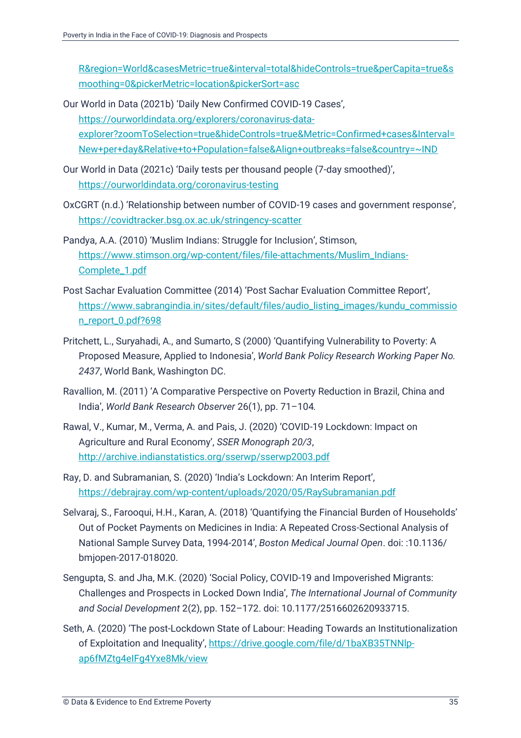[R&region=World&casesMetric=true&interval=total&hideControls=true&perCapita=true&s](https://ourworldindata.org/coronavirus-data-explorer?tab=map&zoomToSelection=true&country=GBR~USA~ESP~ITA~BRA~IND~KOR®ion=World&casesMetric=true&interval=total&hideControls=true&perCapita=true&smoothing=0&pickerMetric=location&pickerSort=asc) [moothing=0&pickerMetric=location&pickerSort=asc](https://ourworldindata.org/coronavirus-data-explorer?tab=map&zoomToSelection=true&country=GBR~USA~ESP~ITA~BRA~IND~KOR®ion=World&casesMetric=true&interval=total&hideControls=true&perCapita=true&smoothing=0&pickerMetric=location&pickerSort=asc)

Our World in Data (2021b) 'Daily New Confirmed COVID-19 Cases', [https://ourworldindata.org/explorers/coronavirus-data](https://ourworldindata.org/explorers/coronavirus-data-explorer?zoomToSelection=true&hideControls=true&Metric=Confirmed+cases&Interval=New+per+day&Relative+to+Population=false&Align+outbreaks=false&country=~IND)[explorer?zoomToSelection=true&hideControls=true&Metric=Confirmed+cases&Interval=](https://ourworldindata.org/explorers/coronavirus-data-explorer?zoomToSelection=true&hideControls=true&Metric=Confirmed+cases&Interval=New+per+day&Relative+to+Population=false&Align+outbreaks=false&country=~IND) [New+per+day&Relative+to+Population=false&Align+outbreaks=false&country=~IND](https://ourworldindata.org/explorers/coronavirus-data-explorer?zoomToSelection=true&hideControls=true&Metric=Confirmed+cases&Interval=New+per+day&Relative+to+Population=false&Align+outbreaks=false&country=~IND)

- Our World in Data (2021c) 'Daily tests per thousand people (7-day smoothed)', <https://ourworldindata.org/coronavirus-testing>
- OxCGRT (n.d.) 'Relationship between number of COVID-19 cases and government response', <https://covidtracker.bsg.ox.ac.uk/stringency-scatter>
- Pandya, A.A. (2010) 'Muslim Indians: Struggle for Inclusion', Stimson, [https://www.stimson.org/wp-content/files/file-attachments/Muslim\\_Indians-](https://www.stimson.org/wp-content/files/file-attachments/Muslim_Indians-Complete_1.pdf)[Complete\\_1.pdf](https://www.stimson.org/wp-content/files/file-attachments/Muslim_Indians-Complete_1.pdf)
- Post Sachar Evaluation Committee (2014) 'Post Sachar Evaluation Committee Report', [https://www.sabrangindia.in/sites/default/files/audio\\_listing\\_images/kundu\\_commissio](https://www.sabrangindia.in/sites/default/files/audio_listing_images/kundu_commission_report_0.pdf?698) [n\\_report\\_0.pdf?698](https://www.sabrangindia.in/sites/default/files/audio_listing_images/kundu_commission_report_0.pdf?698)
- Pritchett, L., Suryahadi, A., and Sumarto, S (2000) 'Quantifying Vulnerability to Poverty: A Proposed Measure, Applied to Indonesia', *World Bank Policy Research Working Paper No. 2437*, World Bank, Washington DC.
- Ravallion, M. (2011) 'A Comparative Perspective on Poverty Reduction in Brazil, China and India', *World Bank Research Observer* 26(1), pp. 71–104*.*
- Rawal, V., Kumar, M., Verma, A. and Pais, J. (2020) 'COVID-19 Lockdown: Impact on Agriculture and Rural Economy', *SSER Monograph 20/3*, <http://archive.indianstatistics.org/sserwp/sserwp2003.pdf>
- Ray, D. and Subramanian, S. (2020) 'India's Lockdown: An Interim Report', <https://debrajray.com/wp-content/uploads/2020/05/RaySubramanian.pdf>
- Selvaraj, S., Farooqui, H.H., Karan, A. (2018) 'Quantifying the Financial Burden of Households' Out of Pocket Payments on Medicines in India: A Repeated Cross-Sectional Analysis of National Sample Survey Data, 1994-2014', *Boston Medical Journal Open*. doi: :10.1136/ bmjopen-2017-018020.
- Sengupta, S. and Jha, M.K. (2020) 'Social Policy, COVID-19 and Impoverished Migrants: Challenges and Prospects in Locked Down India', *The International Journal of Community and Social Development* 2(2), pp. 152–172. doi: 10.1177/2516602620933715.
- Seth, A. (2020) 'The post-Lockdown State of Labour: Heading Towards an Institutionalization of Exploitation and Inequality', [https://drive.google.com/file/d/1baXB35TNNlp](https://drive.google.com/file/d/1baXB35TNNlp-ap6fMZtg4eIFg4Yxe8Mk/view)[ap6fMZtg4eIFg4Yxe8Mk/view](https://drive.google.com/file/d/1baXB35TNNlp-ap6fMZtg4eIFg4Yxe8Mk/view)